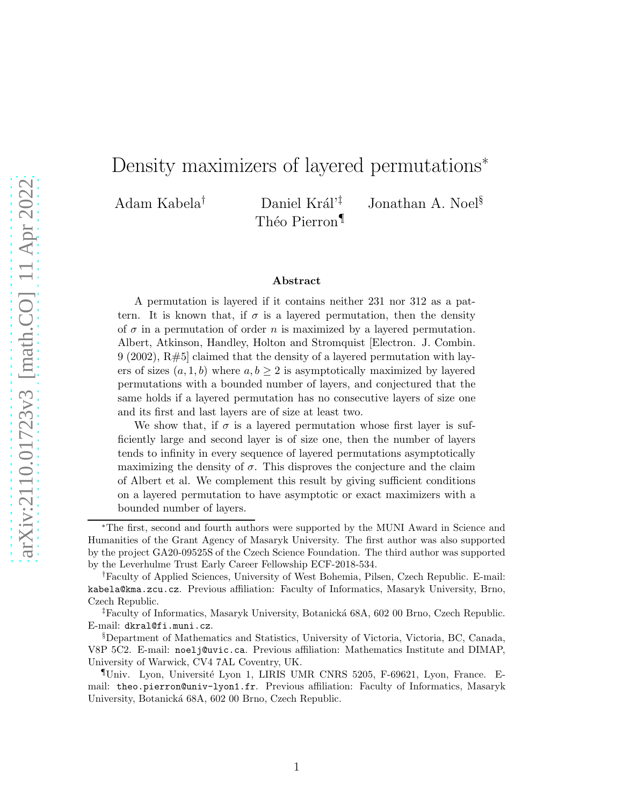# Density maximizers of layered permutations<sup>∗</sup>

Théo Pierron<sup>¶</sup>

Adam Kabela<sup>†</sup> Daniel Král<sup>'‡</sup> Jonathan A. Noel<sup>§</sup>

#### Abstract

A permutation is layered if it contains neither 231 nor 312 as a pattern. It is known that, if  $\sigma$  is a layered permutation, then the density of  $\sigma$  in a permutation of order n is maximized by a layered permutation. Albert, Atkinson, Handley, Holton and Stromquist [Electron. J. Combin.  $9(2002), R#5$  claimed that the density of a layered permutation with layers of sizes  $(a, 1, b)$  where  $a, b \geq 2$  is asymptotically maximized by layered permutations with a bounded number of layers, and conjectured that the same holds if a layered permutation has no consecutive layers of size one and its first and last layers are of size at least two.

We show that, if  $\sigma$  is a layered permutation whose first layer is sufficiently large and second layer is of size one, then the number of layers tends to infinity in every sequence of layered permutations asymptotically maximizing the density of  $\sigma$ . This disproves the conjecture and the claim of Albert et al. We complement this result by giving sufficient conditions on a layered permutation to have asymptotic or exact maximizers with a bounded number of layers.

<sup>∗</sup>The first, second and fourth authors were supported by the MUNI Award in Science and Humanities of the Grant Agency of Masaryk University. The first author was also supported by the project GA20-09525S of the Czech Science Foundation. The third author was supported by the Leverhulme Trust Early Career Fellowship ECF-2018-534.

<sup>†</sup>Faculty of Applied Sciences, University of West Bohemia, Pilsen, Czech Republic. E-mail: kabela@kma.zcu.cz. Previous affiliation: Faculty of Informatics, Masaryk University, Brno, Czech Republic.

<sup>&</sup>lt;sup>‡</sup>Faculty of Informatics, Masaryk University, Botanická 68A, 602 00 Brno, Czech Republic. E-mail: dkral@fi.muni.cz.

<sup>§</sup>Department of Mathematics and Statistics, University of Victoria, Victoria, BC, Canada, V8P 5C2. E-mail: noelj@uvic.ca. Previous affiliation: Mathematics Institute and DIMAP, University of Warwick, CV4 7AL Coventry, UK.

<sup>¶</sup>Univ. Lyon, Universit´e Lyon 1, LIRIS UMR CNRS 5205, F-69621, Lyon, France. Email: theo.pierron@univ-lyon1.fr. Previous affiliation: Faculty of Informatics, Masaryk University, Botanická 68A, 602 00 Brno, Czech Republic.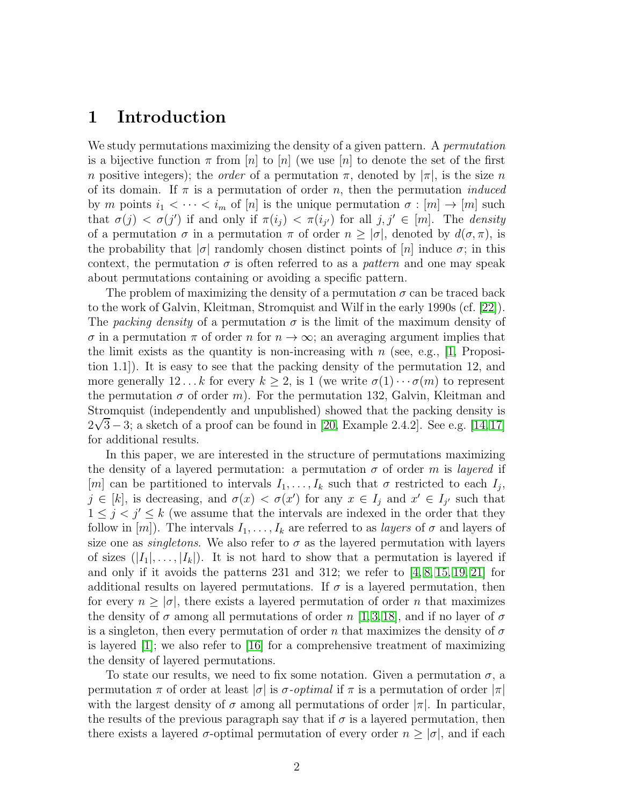### 1 Introduction

We study permutations maximizing the density of a given pattern. A *permutation* is a bijective function  $\pi$  from  $[n]$  to  $[n]$  (we use  $[n]$  to denote the set of the first n positive integers); the *order* of a permutation  $\pi$ , denoted by  $|\pi|$ , is the size n of its domain. If  $\pi$  is a permutation of order n, then the permutation *induced* by m points  $i_1 < \cdots < i_m$  of  $[n]$  is the unique permutation  $\sigma : [m] \to [m]$  such that  $\sigma(j) < \sigma(j')$  if and only if  $\pi(i_j) < \pi(i_{j'})$  for all  $j, j' \in [m]$ . The *density* of a permutation  $\sigma$  in a permutation  $\pi$  of order  $n \geq |\sigma|$ , denoted by  $d(\sigma, \pi)$ , is the probability that  $|\sigma|$  randomly chosen distinct points of  $[n]$  induce  $\sigma$ ; in this context, the permutation  $\sigma$  is often referred to as a *pattern* and one may speak about permutations containing or avoiding a specific pattern.

The problem of maximizing the density of a permutation  $\sigma$  can be traced back to the work of Galvin, Kleitman, Stromquist and Wilf in the early 1990s (cf. [\[22\]](#page-22-0)). The packing density of a permutation  $\sigma$  is the limit of the maximum density of  $\sigma$  in a permutation  $\pi$  of order n for  $n \to \infty$ ; an averaging argument implies that the limit exists as the quantity is non-increasing with n (see, e.g.,  $[1,$  Proposition 1.1]). It is easy to see that the packing density of the permutation 12, and more generally 12... k for every  $k \geq 2$ , is 1 (we write  $\sigma(1) \cdots \sigma(m)$  to represent the permutation  $\sigma$  of order m). For the permutation 132, Galvin, Kleitman and Stromquist (independently and unpublished) showed that the packing density is  $2\sqrt{3} - 3$ ; a sketch of a proof can be found in [\[20,](#page-22-1) Example 2.4.2]. See e.g. [\[14,](#page-21-0)[17\]](#page-21-1) for additional results.

In this paper, we are interested in the structure of permutations maximizing the density of a layered permutation: a permutation  $\sigma$  of order m is layered if [m] can be partitioned to intervals  $I_1, \ldots, I_k$  such that  $\sigma$  restricted to each  $I_j$ ,  $j \in [k]$ , is decreasing, and  $\sigma(x) < \sigma(x')$  for any  $x \in I_j$  and  $x' \in I_{j'}$  such that  $1 \leq j < j' \leq k$  (we assume that the intervals are indexed in the order that they follow in  $[m]$ ). The intervals  $I_1, \ldots, I_k$  are referred to as *layers* of  $\sigma$  and layers of size one as *singletons*. We also refer to  $\sigma$  as the layered permutation with layers of sizes  $(|I_1|, \ldots, |I_k|)$ . It is not hard to show that a permutation is layered if and only if it avoids the patterns  $231$  and  $312$ ; we refer to  $\left[4, 8, 15, 19, 21\right]$  $\left[4, 8, 15, 19, 21\right]$  $\left[4, 8, 15, 19, 21\right]$  $\left[4, 8, 15, 19, 21\right]$  $\left[4, 8, 15, 19, 21\right]$  for additional results on layered permutations. If  $\sigma$  is a layered permutation, then for every  $n \geq |\sigma|$ , there exists a layered permutation of order n that maximizes the density of  $\sigma$  among all permutations of order n [\[1,](#page-20-0) [3,](#page-20-1) [18\]](#page-22-4), and if no layer of  $\sigma$ is a singleton, then every permutation of order n that maximizes the density of  $\sigma$ is layered [\[1\]](#page-20-0); we also refer to [\[16\]](#page-21-5) for a comprehensive treatment of maximizing the density of layered permutations.

To state our results, we need to fix some notation. Given a permutation  $\sigma$ , a permutation  $\pi$  of order at least  $|\sigma|$  is  $\sigma$ -*optimal* if  $\pi$  is a permutation of order  $|\pi|$ with the largest density of  $\sigma$  among all permutations of order  $|\pi|$ . In particular, the results of the previous paragraph say that if  $\sigma$  is a layered permutation, then there exists a layered  $\sigma$ -optimal permutation of every order  $n \geq |\sigma|$ , and if each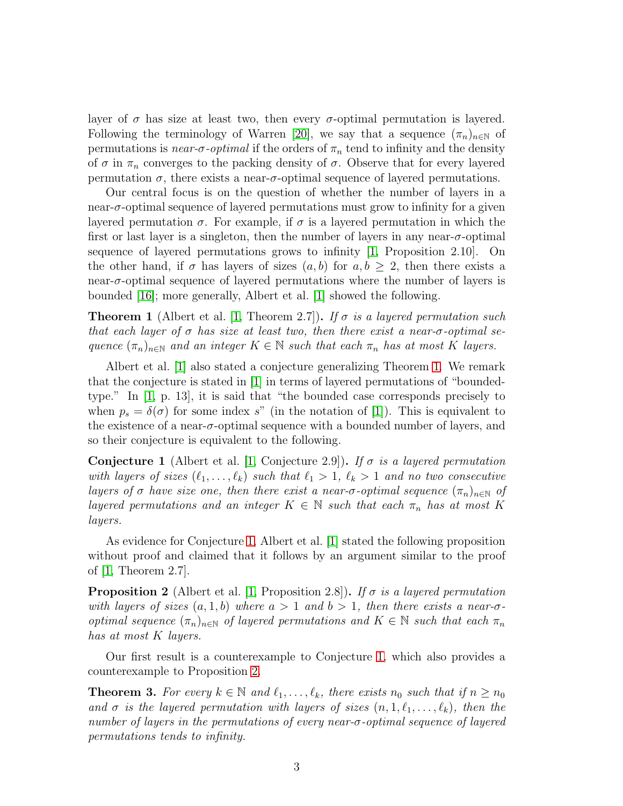layer of  $\sigma$  has size at least two, then every  $\sigma$ -optimal permutation is layered. Following the terminology of Warren [\[20\]](#page-22-1), we say that a sequence  $(\pi_n)_{n\in\mathbb{N}}$  of permutations is *near-σ-optimal* if the orders of  $\pi_n$  tend to infinity and the density of  $\sigma$  in  $\pi_n$  converges to the packing density of  $\sigma$ . Observe that for every layered permutation  $\sigma$ , there exists a near- $\sigma$ -optimal sequence of layered permutations.

Our central focus is on the question of whether the number of layers in a near-σ-optimal sequence of layered permutations must grow to infinity for a given layered permutation  $\sigma$ . For example, if  $\sigma$  is a layered permutation in which the first or last layer is a singleton, then the number of layers in any near- $\sigma$ -optimal sequence of layered permutations grows to infinity [\[1,](#page-20-0) Proposition 2.10]. On the other hand, if  $\sigma$  has layers of sizes  $(a, b)$  for  $a, b \geq 2$ , then there exists a near-σ-optimal sequence of layered permutations where the number of layers is bounded [\[16\]](#page-21-5); more generally, Albert et al. [\[1\]](#page-20-0) showed the following.

<span id="page-2-0"></span>**Theorem 1** (Albert et al. [\[1,](#page-20-0) Theorem 2.7]). If  $\sigma$  is a layered permutation such that each layer of  $\sigma$  has size at least two, then there exist a near- $\sigma$ -optimal sequence  $(\pi_n)_{n\in\mathbb{N}}$  and an integer  $K \in \mathbb{N}$  such that each  $\pi_n$  has at most K layers.

Albert et al. [\[1\]](#page-20-0) also stated a conjecture generalizing Theorem [1.](#page-2-0) We remark that the conjecture is stated in [\[1\]](#page-20-0) in terms of layered permutations of "boundedtype." In [\[1,](#page-20-0) p. 13], it is said that "the bounded case corresponds precisely to when  $p_s = \delta(\sigma)$  for some index s" (in the notation of [\[1\]](#page-20-0)). This is equivalent to the existence of a near-σ-optimal sequence with a bounded number of layers, and so their conjecture is equivalent to the following.

<span id="page-2-1"></span>**Conjecture 1** (Albert et al. [\[1,](#page-20-0) Conjecture 2.9]). If  $\sigma$  is a layered permutation with layers of sizes  $(\ell_1, \ldots, \ell_k)$  such that  $\ell_1 > 1$ ,  $\ell_k > 1$  and no two consecutive layers of  $\sigma$  have size one, then there exist a near- $\sigma$ -optimal sequence  $(\pi_n)_{n\in\mathbb{N}}$  of layered permutations and an integer  $K \in \mathbb{N}$  such that each  $\pi_n$  has at most K layers.

As evidence for Conjecture [1,](#page-2-1) Albert et al. [\[1\]](#page-20-0) stated the following proposition without proof and claimed that it follows by an argument similar to the proof of [\[1,](#page-20-0) Theorem 2.7].

<span id="page-2-2"></span>**Proposition 2** (Albert et al. 1, Proposition 2.8). If  $\sigma$  is a layered permutation with layers of sizes  $(a, 1, b)$  where  $a > 1$  and  $b > 1$ , then there exists a near- $\sigma$ optimal sequence  $(\pi_n)_{n\in\mathbb{N}}$  of layered permutations and  $K \in \mathbb{N}$  such that each  $\pi_n$ has at most K layers.

Our first result is a counterexample to Conjecture [1,](#page-2-1) which also provides a counterexample to Proposition [2.](#page-2-2)

<span id="page-2-3"></span>**Theorem 3.** For every  $k \in \mathbb{N}$  and  $\ell_1, \ldots, \ell_k$ , there exists  $n_0$  such that if  $n \geq n_0$ and  $\sigma$  is the layered permutation with layers of sizes  $(n, 1, \ell_1, \ldots, \ell_k)$ , then the number of layers in the permutations of every near-σ-optimal sequence of layered permutations tends to infinity.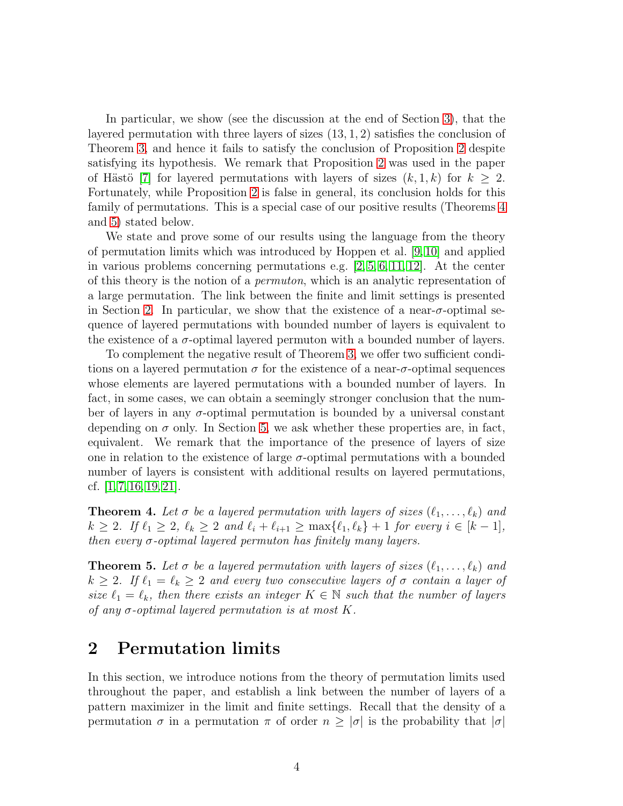In particular, we show (see the discussion at the end of Section [3\)](#page-8-0), that the layered permutation with three layers of sizes (13, 1, 2) satisfies the conclusion of Theorem [3,](#page-2-3) and hence it fails to satisfy the conclusion of Proposition [2](#page-2-2) despite satisfying its hypothesis. We remark that Proposition [2](#page-2-2) was used in the paper of Hästö [\[7\]](#page-21-6) for layered permutations with layers of sizes  $(k, 1, k)$  for  $k \geq 2$ . Fortunately, while Proposition [2](#page-2-2) is false in general, its conclusion holds for this family of permutations. This is a special case of our positive results (Theorems [4](#page-3-0) and [5\)](#page-3-1) stated below.

We state and prove some of our results using the language from the theory of permutation limits which was introduced by Hoppen et al. [\[9,](#page-21-7) [10\]](#page-21-8) and applied in various problems concerning permutations e.g.  $[2, 5, 6, 11, 12]$  $[2, 5, 6, 11, 12]$  $[2, 5, 6, 11, 12]$  $[2, 5, 6, 11, 12]$  $[2, 5, 6, 11, 12]$ . At the center of this theory is the notion of a permuton, which is an analytic representation of a large permutation. The link between the finite and limit settings is presented in Section [2.](#page-3-2) In particular, we show that the existence of a near- $\sigma$ -optimal sequence of layered permutations with bounded number of layers is equivalent to the existence of a  $\sigma$ -optimal layered permuton with a bounded number of layers.

To complement the negative result of Theorem [3,](#page-2-3) we offer two sufficient conditions on a layered permutation  $\sigma$  for the existence of a near- $\sigma$ -optimal sequences whose elements are layered permutations with a bounded number of layers. In fact, in some cases, we can obtain a seemingly stronger conclusion that the number of layers in any  $\sigma$ -optimal permutation is bounded by a universal constant depending on  $\sigma$  only. In Section [5,](#page-19-0) we ask whether these properties are, in fact, equivalent. We remark that the importance of the presence of layers of size one in relation to the existence of large  $\sigma$ -optimal permutations with a bounded number of layers is consistent with additional results on layered permutations, cf. [\[1,](#page-20-0) [7,](#page-21-6) [16,](#page-21-5) [19,](#page-22-2) [21\]](#page-22-3).

<span id="page-3-0"></span>**Theorem 4.** Let  $\sigma$  be a layered permutation with layers of sizes  $(\ell_1, \ldots, \ell_k)$  and  $k \ge 2$ . If  $\ell_1 \ge 2$ ,  $\ell_k \ge 2$  and  $\ell_i + \ell_{i+1} \ge \max{\{\ell_1, \ell_k\}} + 1$  for every  $i \in [k-1]$ , then every  $\sigma$ -optimal layered permuton has finitely many layers.

<span id="page-3-1"></span>**Theorem 5.** Let  $\sigma$  be a layered permutation with layers of sizes  $(\ell_1, \ldots, \ell_k)$  and  $k \geq 2$ . If  $\ell_1 = \ell_k \geq 2$  and every two consecutive layers of  $\sigma$  contain a layer of size  $\ell_1 = \ell_k$ , then there exists an integer  $K \in \mathbb{N}$  such that the number of layers of any  $\sigma$ -optimal layered permutation is at most K.

### <span id="page-3-2"></span>2 Permutation limits

In this section, we introduce notions from the theory of permutation limits used throughout the paper, and establish a link between the number of layers of a pattern maximizer in the limit and finite settings. Recall that the density of a permutation  $\sigma$  in a permutation  $\pi$  of order  $n \geq |\sigma|$  is the probability that  $|\sigma|$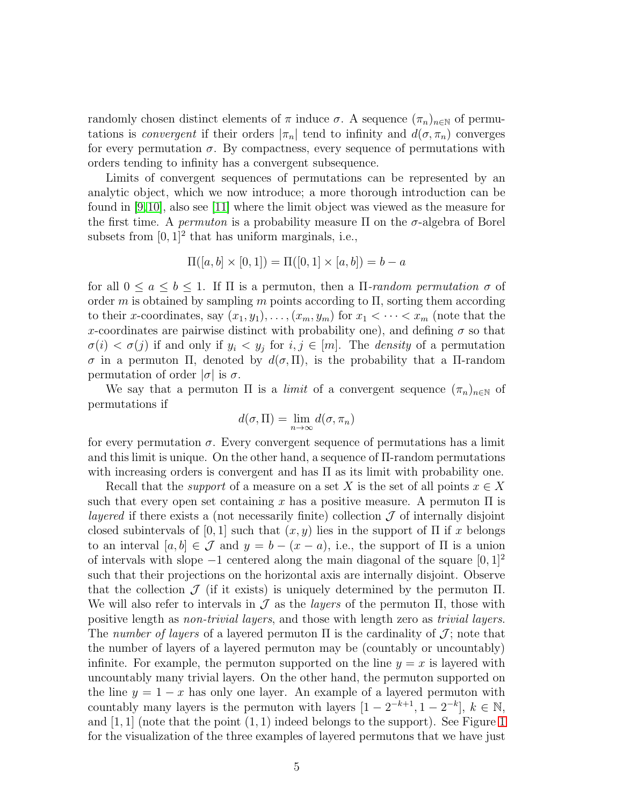randomly chosen distinct elements of  $\pi$  induce  $\sigma$ . A sequence  $(\pi_n)_{n\in\mathbb{N}}$  of permutations is *convergent* if their orders  $|\pi_n|$  tend to infinity and  $d(\sigma, \pi_n)$  converges for every permutation  $\sigma$ . By compactness, every sequence of permutations with orders tending to infinity has a convergent subsequence.

Limits of convergent sequences of permutations can be represented by an analytic object, which we now introduce; a more thorough introduction can be found in [\[9,](#page-21-7)[10\]](#page-21-8), also see [\[11\]](#page-21-11) where the limit object was viewed as the measure for the first time. A *permuton* is a probability measure  $\Pi$  on the  $\sigma$ -algebra of Borel subsets from  $[0, 1]^2$  that has uniform marginals, i.e.,

$$
\Pi([a, b] \times [0, 1]) = \Pi([0, 1] \times [a, b]) = b - a
$$

for all  $0 \le a \le b \le 1$ . If  $\Pi$  is a permuton, then a  $\Pi$ -random permutation  $\sigma$  of order m is obtained by sampling m points according to  $\Pi$ , sorting them according to their x-coordinates, say  $(x_1, y_1), \ldots, (x_m, y_m)$  for  $x_1 < \cdots < x_m$  (note that the x-coordinates are pairwise distinct with probability one), and defining  $\sigma$  so that  $\sigma(i) < \sigma(j)$  if and only if  $y_i < y_j$  for  $i, j \in [m]$ . The *density* of a permutation σ in a permuton Π, denoted by  $d(σ, Π)$ , is the probability that a Π-random permutation of order  $|\sigma|$  is  $\sigma$ .

We say that a permuton  $\Pi$  is a *limit* of a convergent sequence  $(\pi_n)_{n\in\mathbb{N}}$  of permutations if

$$
d(\sigma, \Pi) = \lim_{n \to \infty} d(\sigma, \pi_n)
$$

for every permutation  $\sigma$ . Every convergent sequence of permutations has a limit and this limit is unique. On the other hand, a sequence of Π-random permutations with increasing orders is convergent and has  $\Pi$  as its limit with probability one.

Recall that the *support* of a measure on a set X is the set of all points  $x \in X$ such that every open set containing x has a positive measure. A permuton  $\Pi$  is layered if there exists a (not necessarily finite) collection  $\mathcal J$  of internally disjoint closed subintervals of [0, 1] such that  $(x, y)$  lies in the support of  $\Pi$  if x belongs to an interval  $[a, b] \in \mathcal{J}$  and  $y = b - (x - a)$ , i.e., the support of  $\Pi$  is a union of intervals with slope  $-1$  centered along the main diagonal of the square  $[0, 1]^2$ such that their projections on the horizontal axis are internally disjoint. Observe that the collection  $\mathcal J$  (if it exists) is uniquely determined by the permuton  $\Pi$ . We will also refer to intervals in  $\mathcal J$  as the *layers* of the permuton  $\Pi$ , those with positive length as non-trivial layers, and those with length zero as trivial layers. The number of layers of a layered permuton  $\Pi$  is the cardinality of  $\mathcal{J}$ ; note that the number of layers of a layered permuton may be (countably or uncountably) infinite. For example, the permuton supported on the line  $y = x$  is layered with uncountably many trivial layers. On the other hand, the permuton supported on the line  $y = 1 - x$  has only one layer. An example of a layered permuton with countably many layers is the permuton with layers  $[1 - 2^{-k+1}, 1 - 2^{-k}], k \in \mathbb{N}$ , and  $[1, 1]$  $[1, 1]$  $[1, 1]$  (note that the point  $(1, 1)$  indeed belongs to the support). See Figure 1 for the visualization of the three examples of layered permutons that we have just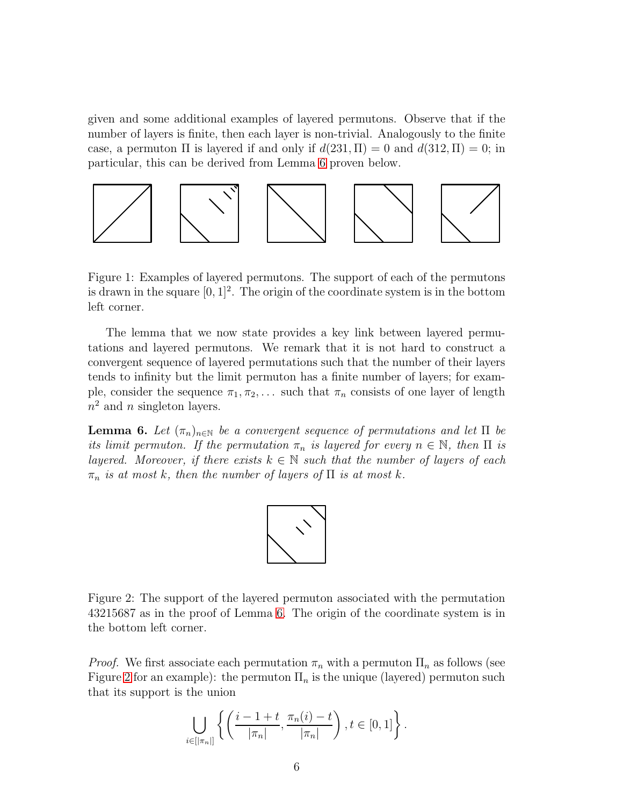given and some additional examples of layered permutons. Observe that if the number of layers is finite, then each layer is non-trivial. Analogously to the finite case, a permuton  $\Pi$  is layered if and only if  $d(231, \Pi) = 0$  and  $d(312, \Pi) = 0$ ; in particular, this can be derived from Lemma [6](#page-5-1) proven below.



<span id="page-5-0"></span>Figure 1: Examples of layered permutons. The support of each of the permutons is drawn in the square  $[0, 1]^2$ . The origin of the coordinate system is in the bottom left corner.

The lemma that we now state provides a key link between layered permutations and layered permutons. We remark that it is not hard to construct a convergent sequence of layered permutations such that the number of their layers tends to infinity but the limit permuton has a finite number of layers; for example, consider the sequence  $\pi_1, \pi_2, \ldots$  such that  $\pi_n$  consists of one layer of length  $n^2$  and n singleton layers.

<span id="page-5-1"></span>**Lemma 6.** Let  $(\pi_n)_{n\in\mathbb{N}}$  be a convergent sequence of permutations and let  $\Pi$  be its limit permuton. If the permutation  $\pi_n$  is layered for every  $n \in \mathbb{N}$ , then  $\Pi$  is layered. Moreover, if there exists  $k \in \mathbb{N}$  such that the number of layers of each  $\pi_n$  is at most k, then the number of layers of  $\Pi$  is at most k.



<span id="page-5-2"></span>Figure 2: The support of the layered permuton associated with the permutation 43215687 as in the proof of Lemma [6.](#page-5-1) The origin of the coordinate system is in the bottom left corner.

*Proof.* We first associate each permutation  $\pi_n$  with a permuton  $\Pi_n$  as follows (see Figure [2](#page-5-2) for an example): the permuton  $\Pi_n$  is the unique (layered) permuton such that its support is the union

$$
\bigcup_{i\in[\lceil \pi_n\rceil]}\left\{\left(\frac{i-1+t}{\lceil \pi_n\rceil},\frac{\pi_n(i)-t}{\lceil \pi_n\rceil}\right), t\in[0,1]\right\}.
$$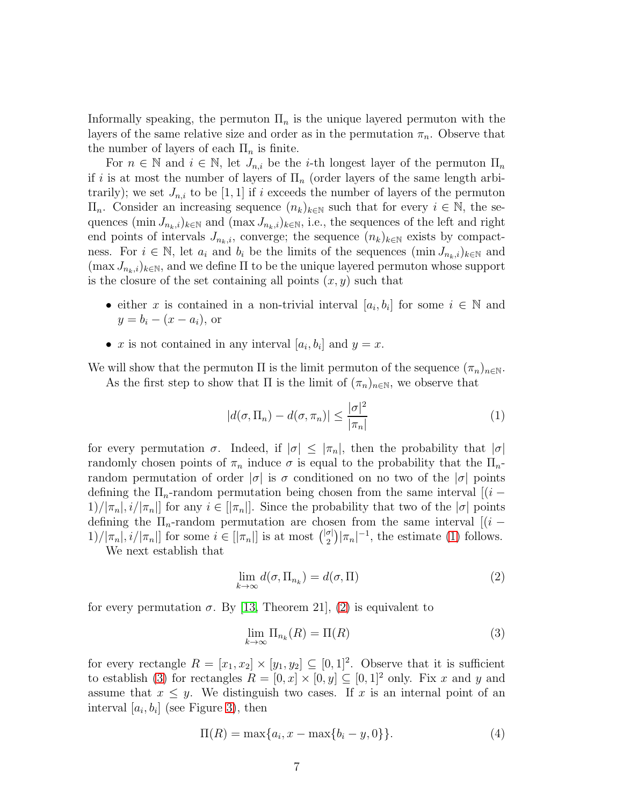Informally speaking, the permuton  $\Pi_n$  is the unique layered permuton with the layers of the same relative size and order as in the permutation  $\pi_n$ . Observe that the number of layers of each  $\Pi_n$  is finite.

For  $n \in \mathbb{N}$  and  $i \in \mathbb{N}$ , let  $J_{n,i}$  be the *i*-th longest layer of the permuton  $\Pi_n$ if i is at most the number of layers of  $\Pi_n$  (order layers of the same length arbitrarily); we set  $J_{n,i}$  to be [1, 1] if i exceeds the number of layers of the permuton  $\Pi_n$ . Consider an increasing sequence  $(n_k)_{k\in\mathbb{N}}$  such that for every  $i\in\mathbb{N}$ , the sequences  $(\min J_{n_k,i})_{k\in\mathbb{N}}$  and  $(\max J_{n_k,i})_{k\in\mathbb{N}}$ , i.e., the sequences of the left and right end points of intervals  $J_{n_k,i}$ , converge; the sequence  $(n_k)_{k\in\mathbb{N}}$  exists by compactness. For  $i \in \mathbb{N}$ , let  $a_i$  and  $b_i$  be the limits of the sequences  $(\min J_{n_k,i})_{k\in\mathbb{N}}$  and  $(\max J_{n_k,i})_{k\in\mathbb{N}},$  and we define  $\Pi$  to be the unique layered permuton whose support is the closure of the set containing all points  $(x, y)$  such that

- either x is contained in a non-trivial interval  $[a_i, b_i]$  for some  $i \in \mathbb{N}$  and  $y = b_i - (x - a_i)$ , or
- x is not contained in any interval  $[a_i, b_i]$  and  $y = x$ .

We will show that the permuton  $\Pi$  is the limit permuton of the sequence  $(\pi_n)_{n\in\mathbb{N}}$ . As the first step to show that  $\Pi$  is the limit of  $(\pi_n)_{n\in\mathbb{N}}$ , we observe that

<span id="page-6-0"></span>
$$
|d(\sigma, \Pi_n) - d(\sigma, \pi_n)| \le \frac{|\sigma|^2}{|\pi_n|} \tag{1}
$$

for every permutation  $\sigma$ . Indeed, if  $|\sigma| \leq |\pi_n|$ , then the probability that  $|\sigma|$ randomly chosen points of  $\pi_n$  induce  $\sigma$  is equal to the probability that the  $\Pi_n$ random permutation of order  $|\sigma|$  is  $\sigma$  conditioned on no two of the  $|\sigma|$  points defining the  $\Pi_n$ -random permutation being chosen from the same interval  $[(i 1)/|\pi_n|, i/|\pi_n|$  for any  $i \in [|\pi_n|]$ . Since the probability that two of the  $|\sigma|$  points defining the  $\Pi_n$ -random permutation are chosen from the same interval  $[(i 1)/[\pi_n], i/[\pi_n]]$  for some  $i \in [|\pi_n|]$  is at most  $\binom{|\sigma|}{2}$  $\binom{\sigma}{2} |\pi_n|^{-1}$ , the estimate [\(1\)](#page-6-0) follows.

We next establish that

<span id="page-6-1"></span>
$$
\lim_{k \to \infty} d(\sigma, \Pi_{n_k}) = d(\sigma, \Pi)
$$
\n(2)

for every permutation  $\sigma$ . By [\[13,](#page-21-13) Theorem 21], [\(2\)](#page-6-1) is equivalent to

<span id="page-6-2"></span>
$$
\lim_{k \to \infty} \Pi_{n_k}(R) = \Pi(R) \tag{3}
$$

for every rectangle  $R = [x_1, x_2] \times [y_1, y_2] \subseteq [0, 1]^2$ . Observe that it is sufficient to establish [\(3\)](#page-6-2) for rectangles  $R = [0, x] \times [0, y] \subseteq [0, 1]^2$  only. Fix x and y and assume that  $x \leq y$ . We distinguish two cases. If x is an internal point of an interval  $[a_i, b_i]$  (see Figure [3\)](#page-7-0), then

<span id="page-6-3"></span>
$$
\Pi(R) = \max\{a_i, x - \max\{b_i - y, 0\}\}.
$$
\n(4)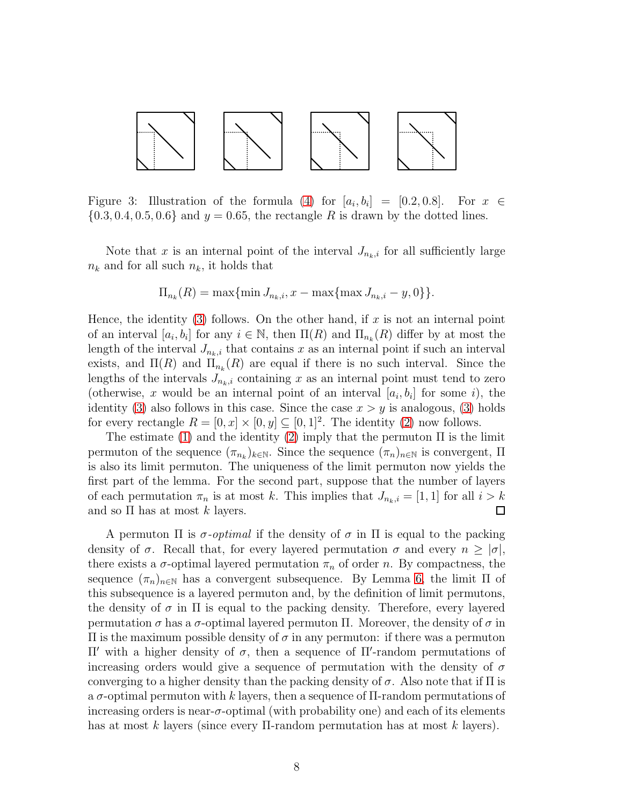

<span id="page-7-0"></span>Figure 3: Illustration of the formula [\(4\)](#page-6-3) for  $[a_i, b_i] = [0.2, 0.8]$ . For  $x \in$  $\{0.3, 0.4, 0.5, 0.6\}$  and  $y = 0.65$ , the rectangle R is drawn by the dotted lines.

Note that x is an internal point of the interval  $J_{n_k,i}$  for all sufficiently large  $n_k$  and for all such  $n_k$ , it holds that

$$
\Pi_{n_k}(R) = \max\{\min J_{n_k,i}, x - \max\{\max J_{n_k,i} - y, 0\}\}.
$$

Hence, the identity  $(3)$  follows. On the other hand, if x is not an internal point of an interval  $[a_i, b_i]$  for any  $i \in \mathbb{N}$ , then  $\Pi(R)$  and  $\Pi_{n_k}(R)$  differ by at most the length of the interval  $J_{n_k,i}$  that contains x as an internal point if such an interval exists, and  $\Pi(R)$  and  $\Pi_{n_k}(R)$  are equal if there is no such interval. Since the lengths of the intervals  $J_{n_k,i}$  containing x as an internal point must tend to zero (otherwise, x would be an internal point of an interval  $[a_i, b_i]$  for some i), the identity [\(3\)](#page-6-2) also follows in this case. Since the case  $x > y$  is analogous, (3) holds for every rectangle  $R = [0, x] \times [0, y] \subseteq [0, 1]^2$ . The identity [\(2\)](#page-6-1) now follows.

The estimate [\(1\)](#page-6-0) and the identity [\(2\)](#page-6-1) imply that the permuton  $\Pi$  is the limit permuton of the sequence  $(\pi_{n_k})_{k\in\mathbb{N}}$ . Since the sequence  $(\pi_n)_{n\in\mathbb{N}}$  is convergent,  $\Pi$ is also its limit permuton. The uniqueness of the limit permuton now yields the first part of the lemma. For the second part, suppose that the number of layers of each permutation  $\pi_n$  is at most k. This implies that  $J_{n_k,i} = [1,1]$  for all  $i > k$ and so  $\Pi$  has at most k layers.  $\Box$ 

A permuton  $\Pi$  is  $\sigma$ -optimal if the density of  $\sigma$  in  $\Pi$  is equal to the packing density of  $\sigma$ . Recall that, for every layered permutation  $\sigma$  and every  $n \geq |\sigma|$ , there exists a  $\sigma$ -optimal layered permutation  $\pi_n$  of order n. By compactness, the sequence  $(\pi_n)_{n\in\mathbb{N}}$  has a convergent subsequence. By Lemma [6,](#page-5-1) the limit  $\Pi$  of this subsequence is a layered permuton and, by the definition of limit permutons, the density of  $\sigma$  in  $\Pi$  is equal to the packing density. Therefore, every layered permutation σ has a σ-optimal layered permuton Π. Moreover, the density of σ in Π is the maximum possible density of σ in any permuton: if there was a permuton Π′ with a higher density of σ, then a sequence of Π′ -random permutations of increasing orders would give a sequence of permutation with the density of  $\sigma$ converging to a higher density than the packing density of  $\sigma$ . Also note that if  $\Pi$  is a  $\sigma$ -optimal permuton with k layers, then a sequence of  $\Pi$ -random permutations of increasing orders is near- $\sigma$ -optimal (with probability one) and each of its elements has at most k layers (since every Π-random permutation has at most k layers).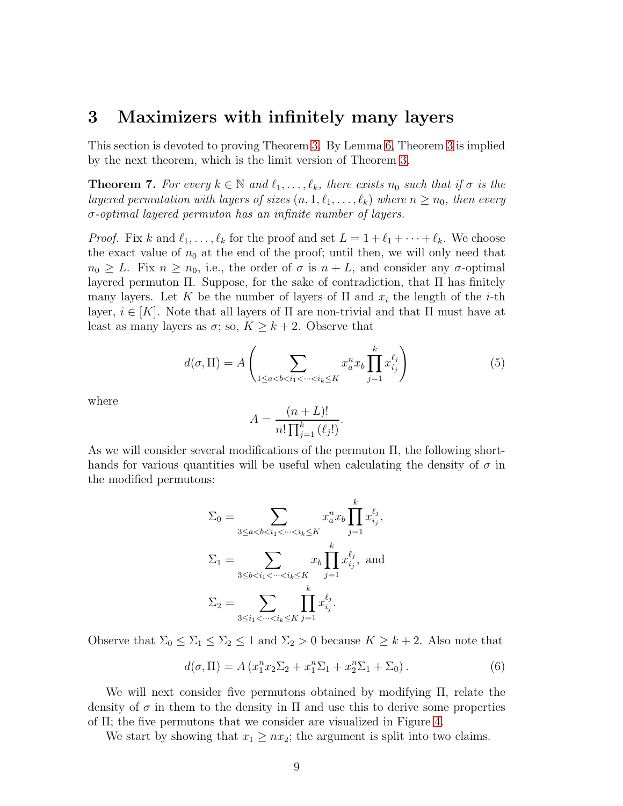### <span id="page-8-0"></span>3 Maximizers with infinitely many layers

This section is devoted to proving Theorem [3.](#page-2-3) By Lemma [6,](#page-5-1) Theorem [3](#page-2-3) is implied by the next theorem, which is the limit version of Theorem [3.](#page-2-3)

<span id="page-8-1"></span>**Theorem 7.** For every  $k \in \mathbb{N}$  and  $\ell_1, \ldots, \ell_k$ , there exists  $n_0$  such that if  $\sigma$  is the layered permutation with layers of sizes  $(n, 1, \ell_1, \ldots, \ell_k)$  where  $n \geq n_0$ , then every  $\sigma$ -optimal layered permuton has an infinite number of layers.

*Proof.* Fix k and  $\ell_1, \ldots, \ell_k$  for the proof and set  $L = 1 + \ell_1 + \cdots + \ell_k$ . We choose the exact value of  $n_0$  at the end of the proof; until then, we will only need that  $n_0 \geq L$ . Fix  $n \geq n_0$ , i.e., the order of  $\sigma$  is  $n + L$ , and consider any  $\sigma$ -optimal layered permuton Π. Suppose, for the sake of contradiction, that Π has finitely many layers. Let K be the number of layers of  $\Pi$  and  $x_i$  the length of the *i*-th layer,  $i \in [K]$ . Note that all layers of  $\Pi$  are non-trivial and that  $\Pi$  must have at least as many layers as  $\sigma$ ; so,  $K \geq k+2$ . Observe that

$$
d(\sigma, \Pi) = A \left( \sum_{1 \le a < b < i_1 < \dots < i_k \le K} x_a^n x_b \prod_{j=1}^k x_{i_j}^{\ell_j} \right) \tag{5}
$$

where

$$
A = \frac{(n+L)!}{n! \prod_{j=1}^{k} (\ell_j!)}.
$$

As we will consider several modifications of the permuton Π, the following shorthands for various quantities will be useful when calculating the density of  $\sigma$  in the modified permutons:

$$
\Sigma_0 = \sum_{3 \le a < b < i_1 < \dots < i_k \le K} x_a^n x_b \prod_{j=1}^k x_{i_j}^{\ell_j},
$$
\n
$$
\Sigma_1 = \sum_{3 \le b < i_1 < \dots < i_k \le K} x_b \prod_{j=1}^k x_{i_j}^{\ell_j}, \text{ and}
$$
\n
$$
\Sigma_2 = \sum_{3 \le i_1 < \dots < i_k \le K} \prod_{j=1}^k x_{i_j}^{\ell_j}.
$$

Observe that  $\Sigma_0 \leq \Sigma_1 \leq \Sigma_2 \leq 1$  and  $\Sigma_2 > 0$  because  $K \geq k+2$ . Also note that

<span id="page-8-2"></span>
$$
d(\sigma, \Pi) = A (x_1^n x_2 \Sigma_2 + x_1^n \Sigma_1 + x_2^n \Sigma_1 + \Sigma_0).
$$
 (6)

We will next consider five permutons obtained by modifying Π, relate the density of  $\sigma$  in them to the density in  $\Pi$  and use this to derive some properties of Π; the five permutons that we consider are visualized in Figure [4.](#page-9-0)

We start by showing that  $x_1 \ge nx_2$ ; the argument is split into two claims.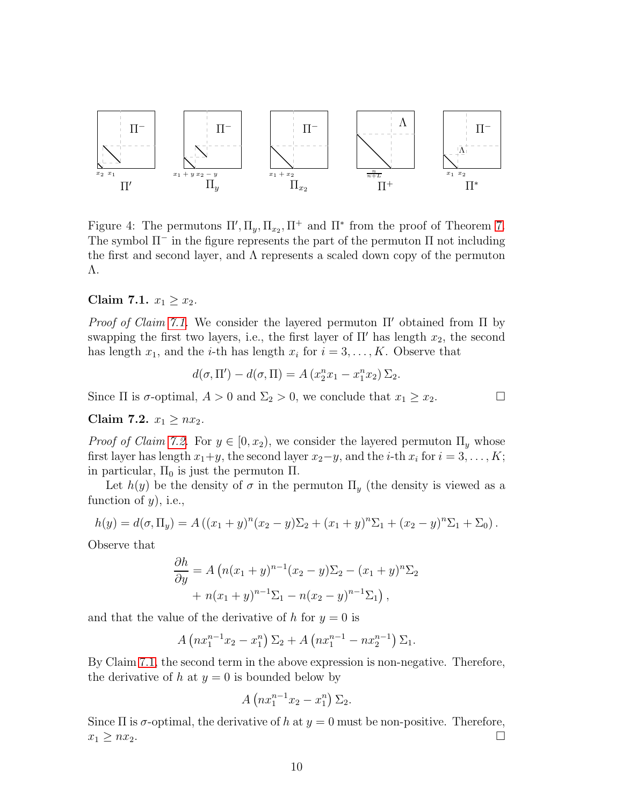

<span id="page-9-0"></span>Figure 4: The permutons  $\Pi', \Pi_y, \Pi_{x_2}, \Pi^+$  and  $\Pi^*$  from the proof of Theorem [7.](#page-8-1) The symbol  $\Pi^-$  in the figure represents the part of the permuton  $\Pi$  not including the first and second layer, and Λ represents a scaled down copy of the permuton Λ.

#### <span id="page-9-1"></span>Claim 7.1.  $x_1 \ge x_2$ .

*Proof of Claim [7.1.](#page-9-1)* We consider the layered permuton  $\Pi'$  obtained from  $\Pi$  by swapping the first two layers, i.e., the first layer of  $\Pi'$  has length  $x_2$ , the second has length  $x_1$ , and the *i*-th has length  $x_i$  for  $i = 3, ..., K$ . Observe that

$$
d(\sigma, \Pi') - d(\sigma, \Pi) = A (x_2^n x_1 - x_1^n x_2) \Sigma_2.
$$

Since  $\Pi$  is  $\sigma$ -optimal,  $A > 0$  and  $\Sigma_2 > 0$ , we conclude that  $x_1 \ge x_2$ .

### <span id="page-9-2"></span>Claim 7.2.  $x_1 \ge nx_2$ .

*Proof of Claim [7.2.](#page-9-2)* For  $y \in [0, x_2)$ , we consider the layered permuton  $\Pi_y$  whose first layer has length  $x_1+y$ , the second layer  $x_2-y$ , and the *i*-th  $x_i$  for  $i=3,\ldots,K$ ; in particular,  $\Pi_0$  is just the permuton  $\Pi$ .

Let  $h(y)$  be the density of  $\sigma$  in the permuton  $\Pi_y$  (the density is viewed as a function of  $y$ , i.e.,

$$
h(y) = d(\sigma, \Pi_y) = A ((x_1 + y)^n (x_2 - y) \Sigma_2 + (x_1 + y)^n \Sigma_1 + (x_2 - y)^n \Sigma_1 + \Sigma_0).
$$

Observe that

$$
\frac{\partial h}{\partial y} = A (n(x_1 + y)^{n-1}(x_2 - y) \Sigma_2 - (x_1 + y)^n \Sigma_2 + n(x_1 + y)^{n-1} \Sigma_1 - n(x_2 - y)^{n-1} \Sigma_1),
$$

and that the value of the derivative of h for  $y = 0$  is

$$
A\left(nx_1^{n-1}x_2 - x_1^n\right)\Sigma_2 + A\left(nx_1^{n-1} - nx_2^{n-1}\right)\Sigma_1.
$$

By Claim [7.1,](#page-9-1) the second term in the above expression is non-negative. Therefore, the derivative of h at  $y = 0$  is bounded below by

$$
A\left(nx_1^{n-1}x_2 - x_1^n\right)\Sigma_2.
$$

Since  $\Pi$  is  $\sigma$ -optimal, the derivative of h at  $y = 0$  must be non-positive. Therefore,  $x_1 \geq nx_2$ .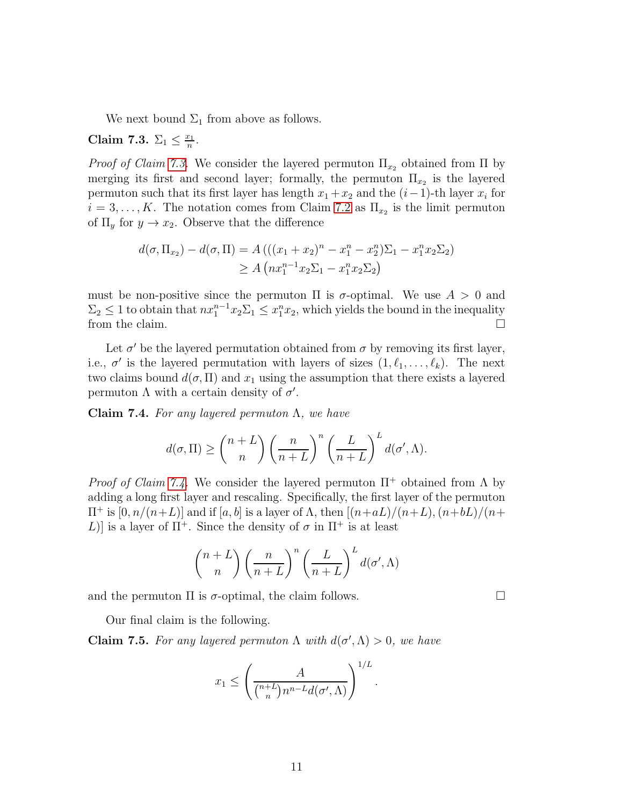We next bound  $\Sigma_1$  from above as follows.

<span id="page-10-0"></span>Claim 7.3.  $\Sigma_1 \leq \frac{x_1}{n}$  $\frac{r_1}{n}$  .

*Proof of Claim [7.3.](#page-10-0)* We consider the layered permuton  $\Pi_{x_2}$  obtained from  $\Pi$  by merging its first and second layer; formally, the permuton  $\Pi_{x_2}$  is the layered permuton such that its first layer has length  $x_1 + x_2$  and the  $(i-1)$ -th layer  $x_i$  for  $i = 3, \ldots, K$ . The notation comes from Claim [7.2](#page-9-2) as  $\Pi_{x_2}$  is the limit permuton of  $\Pi_y$  for  $y \to x_2$ . Observe that the difference

$$
d(\sigma, \Pi_{x_2}) - d(\sigma, \Pi) = A(((x_1 + x_2)^n - x_1^n - x_2^n)\Sigma_1 - x_1^n x_2 \Sigma_2)
$$
  
\n
$$
\geq A\left(nx_1^{n-1}x_2\Sigma_1 - x_1^n x_2 \Sigma_2\right)
$$

must be non-positive since the permuton  $\Pi$  is  $\sigma$ -optimal. We use  $A > 0$  and  $\Sigma_2 \leq 1$  to obtain that  $nx_1^{n-1}x_2\Sigma_1 \leq x_1^n x_2$ , which yields the bound in the inequality from the claim.  $\Box$ 

Let  $\sigma'$  be the layered permutation obtained from  $\sigma$  by removing its first layer, i.e.,  $\sigma'$  is the layered permutation with layers of sizes  $(1, \ell_1, \ldots, \ell_k)$ . The next two claims bound  $d(\sigma, \Pi)$  and  $x_1$  using the assumption that there exists a layered permuton  $\Lambda$  with a certain density of  $\sigma'$ .

<span id="page-10-1"></span>Claim 7.4. For any layered permuton  $\Lambda$ , we have

$$
d(\sigma, \Pi) \ge \binom{n+L}{n} \left(\frac{n}{n+L}\right)^n \left(\frac{L}{n+L}\right)^L d(\sigma', \Lambda).
$$

*Proof of Claim [7.4.](#page-10-1)* We consider the layered permuton  $\Pi^+$  obtained from  $\Lambda$  by adding a long first layer and rescaling. Specifically, the first layer of the permuton  $\Pi^+$  is  $[0, n/(n+L)]$  and if  $[a, b]$  is a layer of Λ, then  $[(n+aL)/(n+L),(n+bL)/(n+L)]$ L) is a layer of  $\Pi^+$ . Since the density of  $\sigma$  in  $\Pi^+$  is at least

$$
\binom{n+L}{n}\left(\frac{n}{n+L}\right)^n \left(\frac{L}{n+L}\right)^L d(\sigma', \Lambda)
$$

and the permuton  $\Pi$  is  $\sigma$ -optimal, the claim follows.

Our final claim is the following.

<span id="page-10-2"></span>**Claim 7.5.** For any layered permuton  $\Lambda$  with  $d(\sigma', \Lambda) > 0$ , we have

$$
x_1 \leq \left(\frac{A}{\binom{n+L}{n}n^{n-L}d(\sigma',\Lambda)}\right)^{1/L}.
$$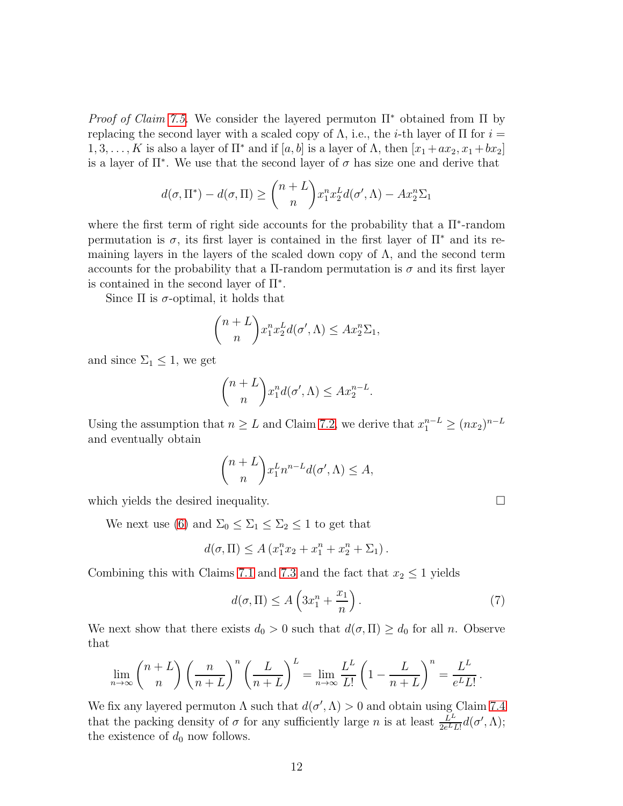*Proof of Claim [7.5.](#page-10-2)* We consider the layered permuton  $\Pi^*$  obtained from  $\Pi$  by replacing the second layer with a scaled copy of  $\Lambda$ , i.e., the *i*-th layer of  $\Pi$  for  $i =$ 1, 3, . . . , K is also a layer of  $\Pi^*$  and if  $[a, b]$  is a layer of  $\Lambda$ , then  $[x_1 + ax_2, x_1 + bx_2]$ is a layer of  $\Pi^*$ . We use that the second layer of  $\sigma$  has size one and derive that

$$
d(\sigma, \Pi^*) - d(\sigma, \Pi) \ge \binom{n+L}{n} x_1^n x_2^L d(\sigma', \Lambda) - Ax_2^n \Sigma_1
$$

where the first term of right side accounts for the probability that a  $\Pi^*$ -random permutation is  $\sigma$ , its first layer is contained in the first layer of  $\Pi^*$  and its remaining layers in the layers of the scaled down copy of  $\Lambda$ , and the second term accounts for the probability that a  $\Pi$ -random permutation is  $\sigma$  and its first layer is contained in the second layer of Π<sup>∗</sup> .

Since  $\Pi$  is  $\sigma$ -optimal, it holds that

$$
\binom{n+L}{n} x_1^n x_2^L d(\sigma', \Lambda) \leq Ax_2^n \Sigma_1,
$$

and since  $\Sigma_1 \leq 1$ , we get

$$
\binom{n+L}{n} x_1^n d(\sigma', \Lambda) \leq Ax_2^{n-L}.
$$

Using the assumption that  $n \geq L$  and Claim [7.2,](#page-9-2) we derive that  $x_1^{n-L} \geq (nx_2)^{n-L}$ and eventually obtain

$$
\binom{n+L}{n} x_1^L n^{n-L} d(\sigma', \Lambda) \le A,
$$

which yields the desired inequality.

We next use [\(6\)](#page-8-2) and  $\Sigma_0 \leq \Sigma_1 \leq \Sigma_2 \leq 1$  to get that

$$
d(\sigma, \Pi) \le A (x_1^n x_2 + x_1^n + x_2^n + \Sigma_1).
$$

Combining this with Claims [7.1](#page-9-1) and [7.3](#page-10-0) and the fact that  $x_2 \leq 1$  yields

<span id="page-11-0"></span>
$$
d(\sigma, \Pi) \le A\left(3x_1^n + \frac{x_1}{n}\right). \tag{7}
$$

We next show that there exists  $d_0 > 0$  such that  $d(\sigma, \Pi) \geq d_0$  for all n. Observe that

$$
\lim_{n \to \infty} {n+L \choose n} \left(\frac{n}{n+L}\right)^n \left(\frac{L}{n+L}\right)^L = \lim_{n \to \infty} \frac{L^L}{L!} \left(1 - \frac{L}{n+L}\right)^n = \frac{L^L}{e^L L!}.
$$

We fix any layered permuton  $\Lambda$  such that  $d(\sigma', \Lambda) > 0$  and obtain using Claim [7.4](#page-10-1) that the packing density of  $\sigma$  for any sufficiently large *n* is at least  $\frac{L^L}{2e^L L!}d(\sigma', \Lambda)$ ; the existence of  $d_0$  now follows.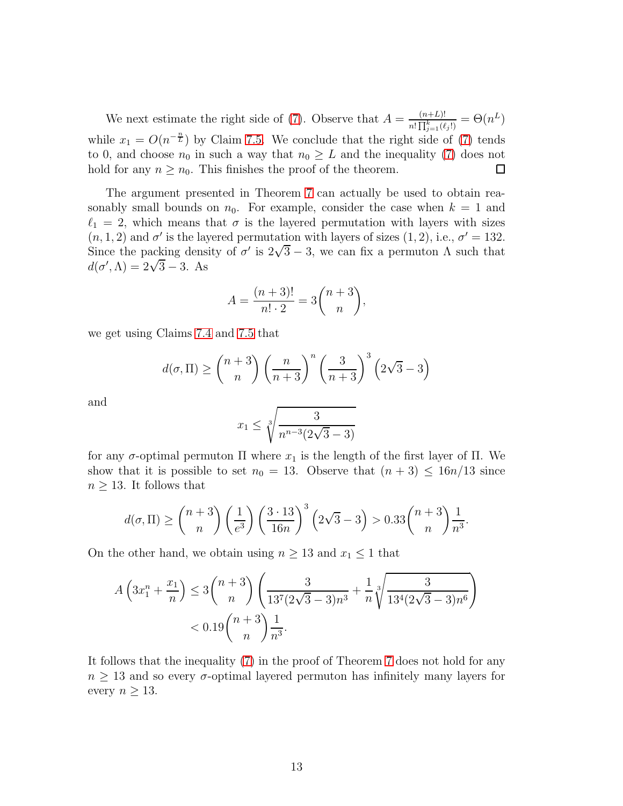We next estimate the right side of [\(7\)](#page-11-0). Observe that  $A = \frac{(n+L)!}{n!\prod_{k=1}^{k} (n+k)!}$  $\frac{(n+L)!}{n!\prod_{j=1}^k(\ell_j!)}=\Theta(n^L)$ while  $x_1 = O(n^{-\frac{n}{L}})$  by Claim [7.5.](#page-10-2) We conclude that the right side of [\(7\)](#page-11-0) tends to 0, and choose  $n_0$  in such a way that  $n_0 \geq L$  and the inequality [\(7\)](#page-11-0) does not hold for any  $n > n_0$ . This finishes the proof of the theorem. hold for any  $n \geq n_0$ . This finishes the proof of the theorem.

The argument presented in Theorem [7](#page-8-1) can actually be used to obtain reasonably small bounds on  $n_0$ . For example, consider the case when  $k = 1$  and  $\ell_1 = 2$ , which means that  $\sigma$  is the layered permutation with layers with sizes  $(n, 1, 2)$  and  $\sigma'$  is the layered permutation with layers of sizes  $(1, 2)$ , i.e.,  $\sigma' = 132$ . Since the packing density of  $\sigma'$  is  $2\sqrt{3} - 3$ , we can fix a permuton  $\Lambda$  such that  $d(\sigma', \Lambda) = 2\sqrt{3} - 3$ . As

$$
A = \frac{(n+3)!}{n! \cdot 2} = 3 \binom{n+3}{n},
$$

we get using Claims [7.4](#page-10-1) and [7.5](#page-10-2) that

$$
d(\sigma, \Pi) \ge \binom{n+3}{n} \left(\frac{n}{n+3}\right)^n \left(\frac{3}{n+3}\right)^3 \left(2\sqrt{3} - 3\right)
$$

and

$$
x_1 \le \sqrt[3]{\frac{3}{n^{n-3}(2\sqrt{3}-3)}}
$$

for any σ-optimal permuton Π where  $x_1$  is the length of the first layer of Π. We show that it is possible to set  $n_0 = 13$ . Observe that  $(n+3) \leq 16n/13$  since  $n \geq 13$ . It follows that

$$
d(\sigma, \Pi) \ge \binom{n+3}{n} \left(\frac{1}{e^3}\right) \left(\frac{3 \cdot 13}{16n}\right)^3 \left(2\sqrt{3} - 3\right) > 0.33 \binom{n+3}{n} \frac{1}{n^3}.
$$

On the other hand, we obtain using  $n \geq 13$  and  $x_1 \leq 1$  that

$$
A\left(3x_1^n + \frac{x_1}{n}\right) \le 3\binom{n+3}{n} \left(\frac{3}{13^7(2\sqrt{3}-3)n^3} + \frac{1}{n}\sqrt[3]{\frac{3}{13^4(2\sqrt{3}-3)n^6}}\right) < 0.19\binom{n+3}{n}\frac{1}{n^3}.
$$

It follows that the inequality [\(7\)](#page-11-0) in the proof of Theorem [7](#page-8-1) does not hold for any  $n \geq 13$  and so every  $\sigma$ -optimal layered permuton has infinitely many layers for every  $n \geq 13$ .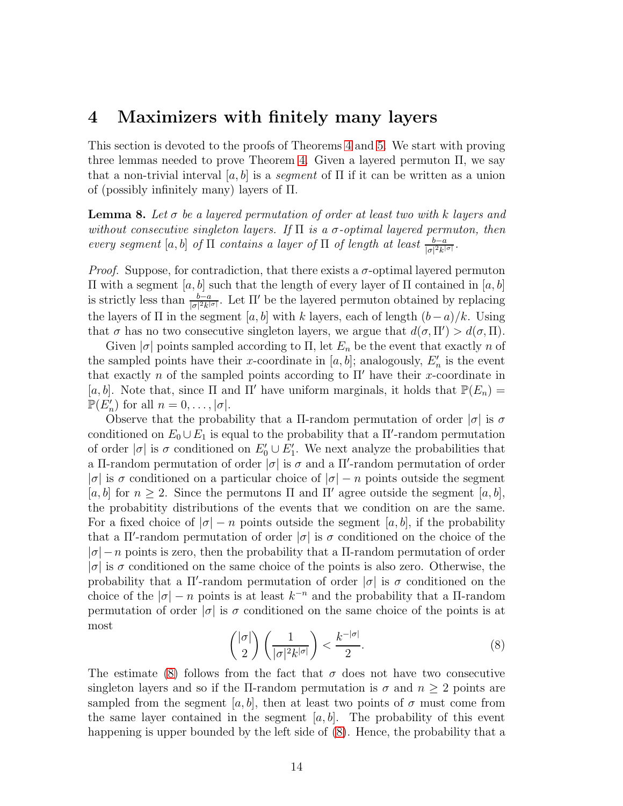### 4 Maximizers with finitely many layers

This section is devoted to the proofs of Theorems [4](#page-3-0) and [5.](#page-3-1) We start with proving three lemmas needed to prove Theorem [4.](#page-3-0) Given a layered permuton Π, we say that a non-trivial interval  $[a, b]$  is a *segment* of  $\Pi$  if it can be written as a union of (possibly infinitely many) layers of Π.

<span id="page-13-1"></span>**Lemma 8.** Let  $\sigma$  be a layered permutation of order at least two with k layers and without consecutive singleton layers. If  $\Pi$  is a  $\sigma$ -optimal layered permuton, then every segment [a, b] of  $\Pi$  contains a layer of  $\Pi$  of length at least  $\frac{b-a}{|\sigma|^2 k^{|\sigma|}}$ .

*Proof.* Suppose, for contradiction, that there exists a  $\sigma$ -optimal layered permuton  $\Pi$  with a segment [a, b] such that the length of every layer of  $\Pi$  contained in [a, b] is strictly less than  $\frac{b-a}{|\sigma|^2 k^{|\sigma|}}$ . Let  $\Pi'$  be the layered permuton obtained by replacing the layers of  $\Pi$  in the segment [a, b] with k layers, each of length  $(b-a)/k$ . Using that  $\sigma$  has no two consecutive singleton layers, we argue that  $d(\sigma, \Pi') > d(\sigma, \Pi)$ .

Given  $|\sigma|$  points sampled according to  $\Pi$ , let  $E_n$  be the event that exactly n of the sampled points have their x-coordinate in  $[a, b]$ ; analogously,  $E'_{n}$  is the event that exactly n of the sampled points according to  $\Pi'$  have their x-coordinate in [a, b]. Note that, since  $\Pi$  and  $\Pi'$  have uniform marginals, it holds that  $\mathbb{P}(E_n)$  =  $\mathbb{P}(E'_n)$  for all  $n = 0, \ldots, |\sigma|$ .

Observe that the probability that a Π-random permutation of order  $|\sigma|$  is  $\sigma$ conditioned on  $E_0 \cup E_1$  is equal to the probability that a  $\Pi'$ -random permutation of order  $|\sigma|$  is  $\sigma$  conditioned on  $E'_0 \cup E'_1$ . We next analyze the probabilities that a Π-random permutation of order  $|\sigma|$  is  $\sigma$  and a  $\Pi'$ -random permutation of order | $\sigma$ | is  $\sigma$  conditioned on a particular choice of  $|\sigma| - n$  points outside the segment [a, b] for  $n \geq 2$ . Since the permutons  $\Pi$  and  $\Pi'$  agree outside the segment [a, b], the probabitity distributions of the events that we condition on are the same. For a fixed choice of  $|\sigma| - n$  points outside the segment [a, b], if the probability that a  $\Pi'$ -random permutation of order  $|\sigma|$  is  $\sigma$  conditioned on the choice of the  $|\sigma| - n$  points is zero, then the probability that a  $\Pi$ -random permutation of order  $|\sigma|$  is  $\sigma$  conditioned on the same choice of the points is also zero. Otherwise, the probability that a  $\Pi'$ -random permutation of order  $|\sigma|$  is  $\sigma$  conditioned on the choice of the  $|\sigma| - n$  points is at least  $k^{-n}$  and the probability that a  $\Pi$ -random permutation of order  $|\sigma|$  is  $\sigma$  conditioned on the same choice of the points is at most

<span id="page-13-0"></span>
$$
\binom{|\sigma|}{2} \left( \frac{1}{|\sigma|^2 k^{|\sigma|}} \right) < \frac{k^{-|\sigma|}}{2}.\tag{8}
$$

The estimate [\(8\)](#page-13-0) follows from the fact that  $\sigma$  does not have two consecutive singleton layers and so if the Π-random permutation is  $\sigma$  and  $n \geq 2$  points are sampled from the segment [a, b], then at least two points of  $\sigma$  must come from the same layer contained in the segment  $[a, b]$ . The probability of this event happening is upper bounded by the left side of  $(8)$ . Hence, the probability that a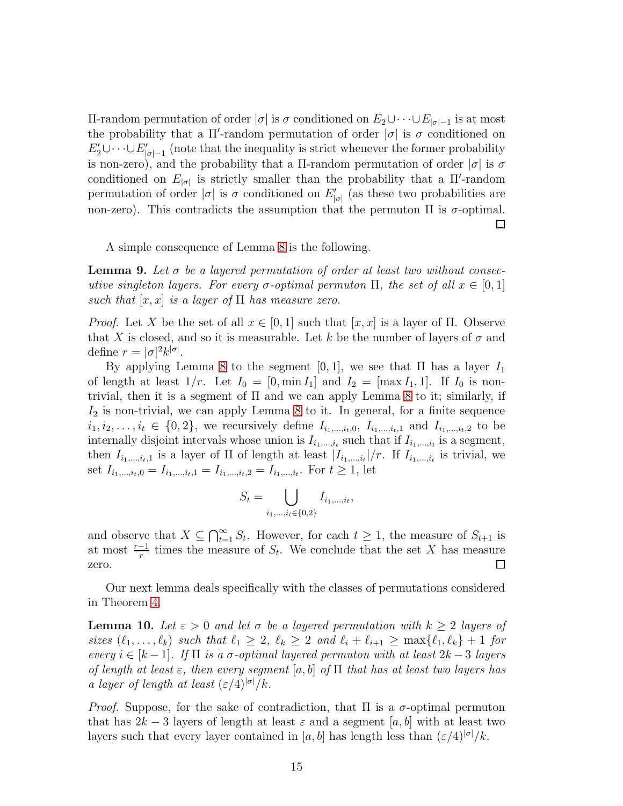Π-random permutation of order |σ| is σ conditioned on  $E_2 ∪ ⋅ ⋅ ⋅ ∪E_{|σ|−1}$  is at most the probability that a  $\Pi'$ -random permutation of order  $|\sigma|$  is  $\sigma$  conditioned on  $E_2' \cup \cdots \cup E_{|\sigma|-1}'$  (note that the inequality is strict whenever the former probability is non-zero), and the probability that a  $\Pi$ -random permutation of order  $|\sigma|$  is  $\sigma$ conditioned on  $E_{|\sigma|}$  is strictly smaller than the probability that a  $\Pi'$ -random permutation of order  $|\sigma|$  is  $\sigma$  conditioned on  $E'_{|\sigma|}$  (as these two probabilities are non-zero). This contradicts the assumption that the permuton  $\Pi$  is  $\sigma$ -optimal. □

A simple consequence of Lemma [8](#page-13-1) is the following.

<span id="page-14-0"></span>**Lemma 9.** Let  $\sigma$  be a layered permutation of order at least two without consecutive singleton layers. For every  $\sigma$ -optimal permuton  $\Pi$ , the set of all  $x \in [0,1]$ such that  $|x, x|$  is a layer of  $\Pi$  has measure zero.

*Proof.* Let X be the set of all  $x \in [0, 1]$  such that  $[x, x]$  is a layer of  $\Pi$ . Observe that X is closed, and so it is measurable. Let k be the number of layers of  $\sigma$  and define  $r = |\sigma|^2 k^{|\sigma|}$ .

By applying Lemma [8](#page-13-1) to the segment  $[0, 1]$ , we see that II has a layer  $I_1$ of length at least  $1/r$ . Let  $I_0 = [0, \min I_1]$  and  $I_2 = [\max I_1, 1]$ . If  $I_0$  is nontrivial, then it is a segment of  $\Pi$  and we can apply Lemma [8](#page-13-1) to it; similarly, if  $I_2$  is non-trivial, we can apply Lemma [8](#page-13-1) to it. In general, for a finite sequence  $i_1, i_2, \ldots, i_t \in \{0, 2\}$ , we recursively define  $I_{i_1, \ldots, i_t, 0}, I_{i_1, \ldots, i_t, 1}$  and  $I_{i_1, \ldots, i_t, 2}$  to be internally disjoint intervals whose union is  $I_{i_1,\dots,i_t}$  such that if  $I_{i_1,\dots,i_t}$  is a segment, then  $I_{i_1,\dots,i_t,1}$  is a layer of  $\Pi$  of length at least  $|I_{i_1,\dots,i_t}|/r$ . If  $I_{i_1,\dots,i_t}$  is trivial, we set  $I_{i_1,...,i_t,0} = I_{i_1,...,i_t,1} = I_{i_1,...,i_t,2} = I_{i_1,...,i_t}$ . For  $t \ge 1$ , let

$$
S_t = \bigcup_{i_1, ..., i_t \in \{0, 2\}} I_{i_1, ..., i_t},
$$

and observe that  $X \subseteq \bigcap_{t=1}^{\infty} S_t$ . However, for each  $t \geq 1$ , the measure of  $S_{t+1}$  is at most  $\frac{r-1}{r}$  times the measure of  $S_t$ . We conclude that the set X has measure zero. □

Our next lemma deals specifically with the classes of permutations considered in Theorem [4.](#page-3-0)

<span id="page-14-1"></span>**Lemma 10.** Let  $\varepsilon > 0$  and let  $\sigma$  be a layered permutation with  $k \geq 2$  layers of sizes  $(\ell_1,\ldots,\ell_k)$  such that  $\ell_1 \geq 2$ ,  $\ell_k \geq 2$  and  $\ell_i + \ell_{i+1} \geq \max{\{\ell_1,\ell_k\}} + 1$  for every  $i \in [k-1]$ . If  $\Pi$  is a  $\sigma$ -optimal layered permuton with at least  $2k-3$  layers of length at least  $\varepsilon$ , then every segment  $[a, b]$  of  $\Pi$  that has at least two layers has a layer of length at least  $(\varepsilon/4)^{|\sigma|}/k$ .

*Proof.* Suppose, for the sake of contradiction, that  $\Pi$  is a  $\sigma$ -optimal permuton that has  $2k-3$  layers of length at least  $\varepsilon$  and a segment [a, b] with at least two layers such that every layer contained in [a, b] has length less than  $(\varepsilon/4)^{|\sigma|}/k$ .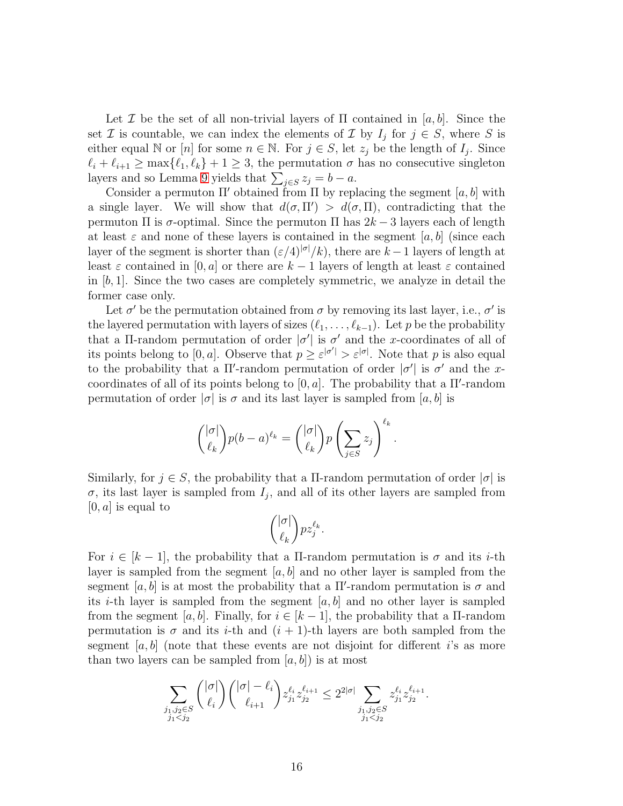Let I be the set of all non-trivial layers of  $\Pi$  contained in [a, b]. Since the set  $\mathcal I$  is countable, we can index the elements of  $\mathcal I$  by  $I_j$  for  $j \in S$ , where  $S$  is either equal N or [n] for some  $n \in \mathbb{N}$ . For  $j \in S$ , let  $z_j$  be the length of  $I_j$ . Since  $\ell_i + \ell_{i+1} \ge \max{\ell_1, \ell_k} + 1 \ge 3$ , the permutation  $\sigma$  has no consecutive singleton layers and so Lemma [9](#page-14-0) yields that  $\sum_{j \in S} z_j = b - a$ .

Consider a permuton  $\Pi'$  obtained from  $\Pi$  by replacing the segment [a, b] with a single layer. We will show that  $d(\sigma, \Pi') > d(\sigma, \Pi)$ , contradicting that the permuton Π is σ-optimal. Since the permuton Π has 2k − 3 layers each of length at least  $\varepsilon$  and none of these layers is contained in the segment [a, b] (since each layer of the segment is shorter than  $(\varepsilon/4)^{|\sigma|}/k$ , there are  $k-1$  layers of length at least  $\varepsilon$  contained in [0, a] or there are  $k-1$  layers of length at least  $\varepsilon$  contained in  $[b, 1]$ . Since the two cases are completely symmetric, we analyze in detail the former case only.

Let  $\sigma'$  be the permutation obtained from  $\sigma$  by removing its last layer, i.e.,  $\sigma'$  is the layered permutation with layers of sizes  $(\ell_1, \ldots, \ell_{k-1})$ . Let p be the probability that a Π-random permutation of order  $|\sigma'|$  is  $\sigma'$  and the x-coordinates of all of its points belong to [0, a]. Observe that  $p \geq \varepsilon^{|\sigma'|} > \varepsilon^{|\sigma|}$ . Note that p is also equal to the probability that a  $\Pi'$ -random permutation of order  $|\sigma'|$  is  $\sigma'$  and the xcoordinates of all of its points belong to  $[0, a]$ . The probability that a  $\Pi'$ -random permutation of order  $|\sigma|$  is  $\sigma$  and its last layer is sampled from [a, b] is

$$
\binom{|\sigma|}{\ell_k} p(b-a)^{\ell_k} = \binom{|\sigma|}{\ell_k} p\left(\sum_{j\in S} z_j\right)^{\ell_k}.
$$

Similarly, for  $j \in S$ , the probability that a Π-random permutation of order  $|\sigma|$  is  $\sigma$ , its last layer is sampled from  $I_j$ , and all of its other layers are sampled from  $[0, a]$  is equal to

$$
\binom{|\sigma|}{\ell_k} pz_j^{\ell_k}.
$$

For  $i \in [k-1]$ , the probability that a II-random permutation is  $\sigma$  and its *i*-th layer is sampled from the segment  $[a, b]$  and no other layer is sampled from the segment [a, b] is at most the probability that a  $\Pi'$ -random permutation is  $\sigma$  and its *i*-th layer is sampled from the segment  $[a, b]$  and no other layer is sampled from the segment [a, b]. Finally, for  $i \in [k-1]$ , the probability that a II-random permutation is  $\sigma$  and its *i*-th and  $(i + 1)$ -th layers are both sampled from the segment  $[a, b]$  (note that these events are not disjoint for different i's as more than two layers can be sampled from  $[a, b]$  is at most

$$
\sum_{\substack{j_1,j_2 \in S \\ j_1 < j_2}} \binom{|\sigma|}{\ell_i} \binom{|\sigma| - \ell_i}{\ell_{i+1}} z_{j_1}^{\ell_i} z_{j_2}^{\ell_{i+1}} \le 2^{2|\sigma|} \sum_{\substack{j_1,j_2 \in S \\ j_1 < j_2}} z_{j_1}^{\ell_i} z_{j_2}^{\ell_{i+1}}.
$$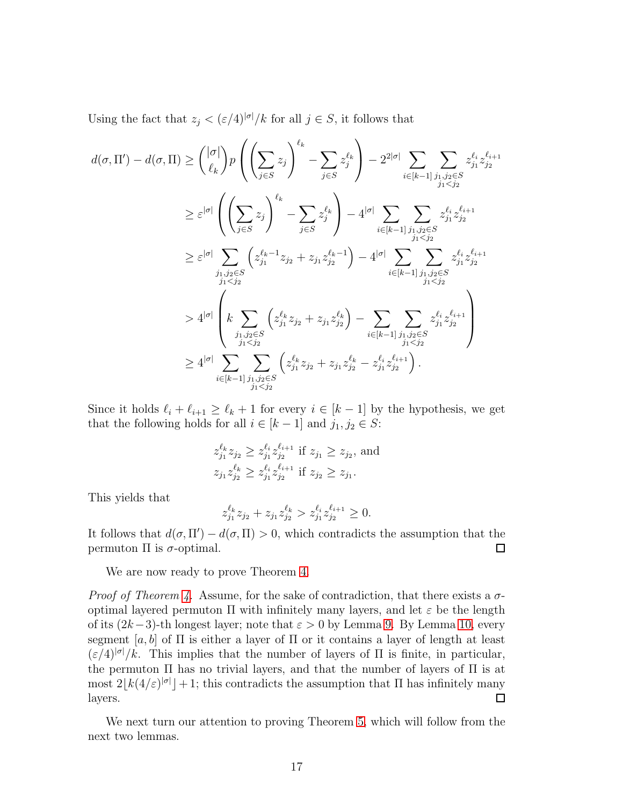Using the fact that  $z_j < (\varepsilon/4)^{|\sigma|}/k$  for all  $j \in S$ , it follows that

$$
d(\sigma, \Pi') - d(\sigma, \Pi) \ge \binom{|\sigma|}{\ell_k} p \left( \left( \sum_{j \in S} z_j \right)^{\ell_k} - \sum_{j \in S} z_j^{\ell_k} \right) - 2^{2|\sigma|} \sum_{i \in [k-1]} \sum_{\substack{j_1, j_2 \in S \\ j_1 < j_2}} z_j^{\ell_i} z_{j_2}^{\ell_{i+1}}
$$
\n
$$
\ge \varepsilon^{|\sigma|} \left( \left( \sum_{j \in S} z_j \right)^{\ell_k} - \sum_{j \in S} z_j^{\ell_k} \right) - 4^{|\sigma|} \sum_{i \in [k-1]} \sum_{\substack{j_1, j_2 \in S \\ j_1 < j_2}} z_{j_1}^{\ell_i} z_{j_2}^{\ell_{i+1}}
$$
\n
$$
\ge \varepsilon^{|\sigma|} \sum_{\substack{j_1, j_2 \in S \\ j_1 < j_2}} \left( z_{j_1}^{\ell_k - 1} z_{j_2} + z_{j_1} z_{j_2}^{\ell_k - 1} \right) - 4^{|\sigma|} \sum_{i \in [k-1]} \sum_{\substack{j_1, j_2 \in S \\ j_1 < j_2}} z_{j_1}^{\ell_i} z_{j_2}^{\ell_{i+1}}
$$
\n
$$
\ge 4^{|\sigma|} \left( k \sum_{\substack{j_1, j_2 \in S \\ j_1 < j_2}} \left( z_{j_1}^{\ell_k} z_{j_2} + z_{j_1} z_{j_2}^{\ell_k} \right) - \sum_{\substack{i \in [k-1]} \sum_{\substack{j_1, j_2 \in S \\ j_1 < j_2}} z_{j_1}^{\ell_i} z_{j_2}^{\ell_{i+1}}
$$
\n
$$
\ge 4^{|\sigma|} \sum_{\substack{i \in [k-1] \ j_1, j_2 \in S \\ j_1 < j_2}} \left( z_{j_1}^{\ell_k} z_{j_2} + z_{j_1} z_{j_2}^{\ell_k} - z_{j_1}^{\ell_k} z_{j_2}^{\ell_{i+1}} \right).
$$

Since it holds  $\ell_i + \ell_{i+1} \geq \ell_k + 1$  for every  $i \in [k-1]$  by the hypothesis, we get that the following holds for all  $i \in [k-1]$  and  $j_1, j_2 \in S$ :

$$
z_{j_1}^{\ell_k} z_{j_2} \ge z_{j_1}^{\ell_i} z_{j_2}^{\ell_{i+1}} \text{ if } z_{j_1} \ge z_{j_2}, \text{ and}
$$
  

$$
z_{j_1} z_{j_2}^{\ell_k} \ge z_{j_1}^{\ell_i} z_{j_2}^{\ell_{i+1}} \text{ if } z_{j_2} \ge z_{j_1}.
$$

This yields that

$$
z_{j_1}^{\ell_k} z_{j_2} + z_{j_1} z_{j_2}^{\ell_k} > z_{j_1}^{\ell_i} z_{j_2}^{\ell_{i+1}} \geq 0.
$$

It follows that  $d(\sigma, \Pi') - d(\sigma, \Pi) > 0$ , which contradicts the assumption that the permuton Π is σ-optimal.

We are now ready to prove Theorem [4.](#page-3-0)

*Proof of Theorem [4.](#page-3-0)* Assume, for the sake of contradiction, that there exists a  $\sigma$ optimal layered permuton  $\Pi$  with infinitely many layers, and let  $\varepsilon$  be the length of its  $(2k-3)$ -th longest layer; note that  $\varepsilon > 0$  by Lemma [9.](#page-14-0) By Lemma [10,](#page-14-1) every segment [a, b] of  $\Pi$  is either a layer of  $\Pi$  or it contains a layer of length at least  $(\varepsilon/4)^{|\sigma|}/k$ . This implies that the number of layers of  $\Pi$  is finite, in particular, the permuton Π has no trivial layers, and that the number of layers of Π is at most  $2\lfloor k(4/\varepsilon)^{|\sigma|}\rfloor + 1$ ; this contradicts the assumption that  $\Pi$  has infinitely many layers.

We next turn our attention to proving Theorem [5,](#page-3-1) which will follow from the next two lemmas.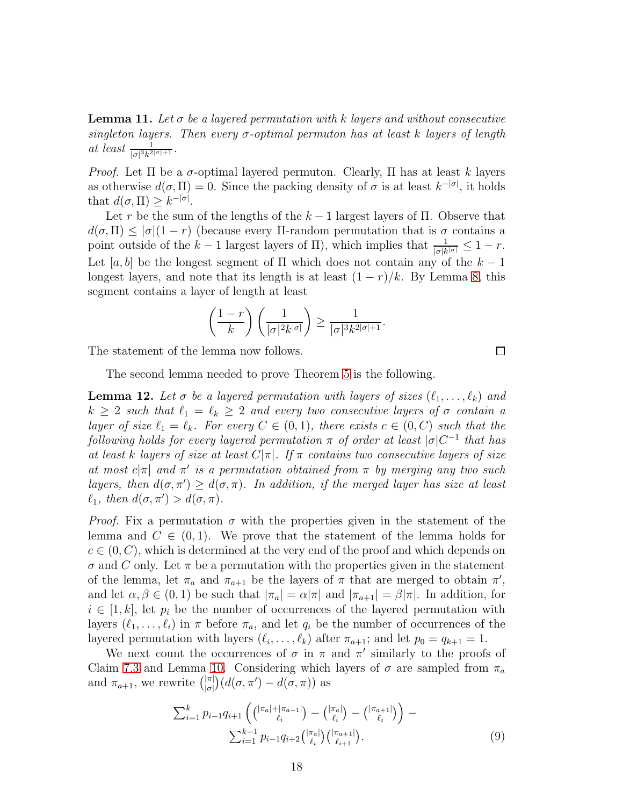<span id="page-17-2"></span>**Lemma 11.** Let  $\sigma$  be a layered permutation with k layers and without consecutive singleton layers. Then every  $\sigma$ -optimal permuton has at least k layers of length at least  $\frac{1}{|\sigma|^3 k^{2|\sigma|+1}}$ .

*Proof.* Let  $\Pi$  be a  $\sigma$ -optimal layered permuton. Clearly,  $\Pi$  has at least k layers as otherwise  $d(\sigma, \Pi) = 0$ . Since the packing density of  $\sigma$  is at least  $k^{-|\sigma|}$ , it holds that  $d(\sigma, \Pi) \geq k^{-|\sigma|}$ .

Let r be the sum of the lengths of the  $k-1$  largest layers of  $\Pi$ . Observe that  $d(\sigma,\Pi) \leq |\sigma|(1-r)$  (because every  $\Pi$ -random permutation that is  $\sigma$  contains a point outside of the  $k-1$  largest layers of  $\Pi$ ), which implies that  $\frac{1}{|\sigma|k^{|\sigma|}} \leq 1-r$ . Let [a, b] be the longest segment of  $\Pi$  which does not contain any of the  $k-1$ longest layers, and note that its length is at least  $(1 - r)/k$ . By Lemma [8,](#page-13-1) this segment contains a layer of length at least

$$
\left(\frac{1-r}{k}\right)\left(\frac{1}{|\sigma|^2 k^{|\sigma|}}\right) \ge \frac{1}{|\sigma|^3 k^{2|\sigma|+1}}.
$$

The statement of the lemma now follows.

The second lemma needed to prove Theorem [5](#page-3-1) is the following.

<span id="page-17-1"></span>**Lemma 12.** Let  $\sigma$  be a layered permutation with layers of sizes  $(\ell_1, \ldots, \ell_k)$  and  $k \geq 2$  such that  $\ell_1 = \ell_k \geq 2$  and every two consecutive layers of  $\sigma$  contain a layer of size  $\ell_1 = \ell_k$ . For every  $C \in (0,1)$ , there exists  $c \in (0, C)$  such that the following holds for every layered permutation  $\pi$  of order at least  $|\sigma|C^{-1}$  that has at least k layers of size at least  $C|\pi|$ . If  $\pi$  contains two consecutive layers of size at most  $c|\pi|$  and  $\pi'$  is a permutation obtained from  $\pi$  by merging any two such layers, then  $d(\sigma, \pi') \geq d(\sigma, \pi)$ . In addition, if the merged layer has size at least  $\ell_1$ , then  $d(\sigma, \pi') > d(\sigma, \pi)$ .

*Proof.* Fix a permutation  $\sigma$  with the properties given in the statement of the lemma and  $C \in (0,1)$ . We prove that the statement of the lemma holds for  $c \in (0, C)$ , which is determined at the very end of the proof and which depends on  $\sigma$  and C only. Let  $\pi$  be a permutation with the properties given in the statement of the lemma, let  $\pi_a$  and  $\pi_{a+1}$  be the layers of  $\pi$  that are merged to obtain  $\pi'$ , and let  $\alpha, \beta \in (0, 1)$  be such that  $|\pi_a| = \alpha |\pi|$  and  $|\pi_{a+1}| = \beta |\pi|$ . In addition, for  $i \in [1, k]$ , let  $p_i$  be the number of occurrences of the layered permutation with layers  $(\ell_1, \ldots, \ell_i)$  in  $\pi$  before  $\pi_a$ , and let  $q_i$  be the number of occurrences of the layered permutation with layers  $(\ell_i, \ldots, \ell_k)$  after  $\pi_{a+1}$ ; and let  $p_0 = q_{k+1} = 1$ .

We next count the occurrences of  $\sigma$  in  $\pi$  and  $\pi'$  similarly to the proofs of Claim [7.3](#page-10-0) and Lemma [10.](#page-14-1) Considering which layers of  $\sigma$  are sampled from  $\pi_a$ and  $\pi_{a+1}$ , we rewrite  $\binom{|\pi|}{|\sigma|}$  $\frac{|\pi|}{|\sigma|} (d(\sigma, \pi') - d(\sigma, \pi))$  as

<span id="page-17-0"></span>
$$
\sum_{i=1}^{k} p_{i-1} q_{i+1} \left( \binom{|\pi_a| + |\pi_{a+1}|}{\ell_i} - \binom{|\pi_a|}{\ell_i} - \binom{|\pi_{a+1}|}{\ell_i} \right) - \sum_{i=1}^{k-1} p_{i-1} q_{i+2} \binom{|\pi_a|}{\ell_i} \binom{|\pi_{a+1}|}{\ell_{i+1}}.
$$
\n(9)

 $\Box$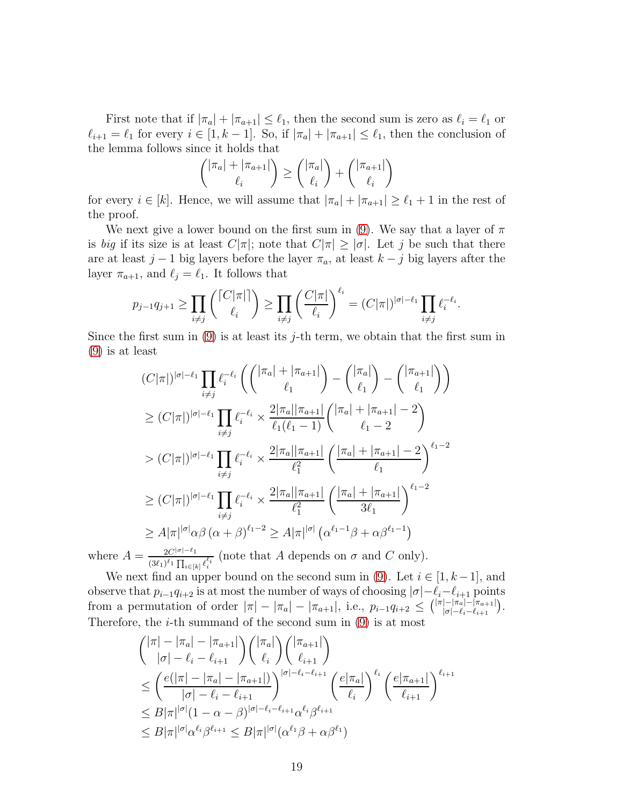First note that if  $|\pi_a| + |\pi_{a+1}| \leq \ell_1$ , then the second sum is zero as  $\ell_i = \ell_1$  or  $\ell_{i+1} = \ell_1$  for every  $i \in [1, k-1]$ . So, if  $|\pi_a| + |\pi_{a+1}| \leq \ell_1$ , then the conclusion of the lemma follows since it holds that

$$
\binom{|\pi_a| + |\pi_{a+1}|}{\ell_i} \ge \binom{|\pi_a|}{\ell_i} + \binom{|\pi_{a+1}|}{\ell_i}
$$

for every  $i \in [k]$ . Hence, we will assume that  $|\pi_a| + |\pi_{a+1}| \geq \ell_1 + 1$  in the rest of the proof.

We next give a lower bound on the first sum in [\(9\)](#page-17-0). We say that a layer of  $\pi$ is big if its size is at least  $C|\pi|$ ; note that  $C|\pi| \geq |\sigma|$ . Let j be such that there are at least  $j-1$  big layers before the layer  $\pi_a$ , at least  $k-j$  big layers after the layer  $\pi_{a+1}$ , and  $\ell_i = \ell_1$ . It follows that

$$
p_{j-1}q_{j+1} \ge \prod_{i \ne j} \binom{\lceil C|\pi \rceil}{\ell_i} \ge \prod_{i \ne j} \left(\frac{C|\pi|}{\ell_i}\right)^{\ell_i} = (C|\pi|)^{|\sigma|-\ell_1} \prod_{i \ne j} \ell_i^{-\ell_i}.
$$

Since the first sum in  $(9)$  is at least its j-th term, we obtain that the first sum in [\(9\)](#page-17-0) is at least

$$
\begin{split}\n(C|\pi|)^{|\sigma|-\ell_{1}} \prod_{i\neq j} \ell_{i}^{-\ell_{i}} \left( \binom{|\pi_{a}|+|\pi_{a+1}|}{\ell_{1}} - \binom{|\pi_{a}|}{\ell_{1}} - \binom{|\pi_{a+1}|}{\ell_{1}} \right) \\
&\geq (C|\pi|)^{|\sigma|-\ell_{1}} \prod_{i\neq j} \ell_{i}^{-\ell_{i}} \times \frac{2|\pi_{a}||\pi_{a+1}|}{\ell_{1}(\ell_{1}-1)} \binom{|\pi_{a}|+|\pi_{a+1}|-2}{\ell_{1}-2} \\
&\gt; (C|\pi|)^{|\sigma|-\ell_{1}} \prod_{i\neq j} \ell_{i}^{-\ell_{i}} \times \frac{2|\pi_{a}||\pi_{a+1}|}{\ell_{1}^{2}} \left( \frac{|\pi_{a}|+|\pi_{a+1}|-2}{\ell_{1}} \right)^{\ell_{1}-2} \\
&\geq (C|\pi|)^{|\sigma|-\ell_{1}} \prod_{i\neq j} \ell_{i}^{-\ell_{i}} \times \frac{2|\pi_{a}||\pi_{a+1}|}{\ell_{1}^{2}} \left( \frac{|\pi_{a}|+|\pi_{a+1}|}{3\ell_{1}} \right)^{\ell_{1}-2} \\
&\geq A|\pi|^{|\sigma|} \alpha \beta \left( \alpha + \beta \right)^{\ell_{1}-2} \geq A|\pi|^{|\sigma|} \left( \alpha^{\ell_{1}-1}\beta + \alpha \beta^{\ell_{1}-1} \right)\n\end{split}
$$

where  $A = \frac{2C^{|\sigma|-\ell_1}}{(2\ell_1)^{\ell_1}\overline{M}}$  $\frac{2C^{|\sigma|-1}}{(3\ell_1)^{\ell_1}\prod_{i\in[k]} \ell_i^{\ell_i}}$  (note that A depends on  $\sigma$  and C only).

We next find an upper bound on the second sum in [\(9\)](#page-17-0). Let  $i \in [1, k-1]$ , and observe that  $p_{i-1}q_{i+2}$  is at most the number of ways of choosing  $|\sigma|-\ell_i-\ell_{i+1}$  points from a permutation of order  $|\pi| - |\pi_a| - |\pi_{a+1}|$ , i.e.,  $p_{i-1}q_{i+2} \leq {\binom{|\pi|-|\pi_a|-|\pi_{a+1}|}{|\sigma|-\ell_i-\ell_{i+1}}}$  $\frac{|-|\pi_a|-|\pi_{a+1}|}{|\sigma|-\ell_i-\ell_{i+1}}$ . Therefore, the  $i$ -th summand of the second sum in [\(9\)](#page-17-0) is at most

$$
\begin{aligned}\n\binom{|\pi| - |\pi_a| - |\pi_{a+1}|}{|\sigma| - \ell_i - \ell_{i+1}} \binom{|\pi_a|}{\ell_i} \binom{|\pi_{a+1}|}{\ell_{i+1}} \\
&\leq \left( \frac{e(|\pi| - |\pi_a| - |\pi_{a+1}|)}{|\sigma| - \ell_i - \ell_{i+1}} \right)^{|\sigma| - \ell_i - \ell_{i+1}} \left( \frac{e|\pi_a|}{\ell_i} \right)^{\ell_i} \left( \frac{e|\pi_{a+1}|}{\ell_{i+1}} \right)^{\ell_{i+1}} \\
&\leq B|\pi|^{|\sigma|} (1 - \alpha - \beta)^{|\sigma| - \ell_i - \ell_{i+1}} \alpha^{\ell_i} \beta^{\ell_{i+1}} \\
&\leq B|\pi|^{|\sigma|} \alpha^{\ell_i} \beta^{\ell_{i+1}} \leq B|\pi|^{|\sigma|} (\alpha^{\ell_1} \beta + \alpha \beta^{\ell_1})\n\end{aligned}
$$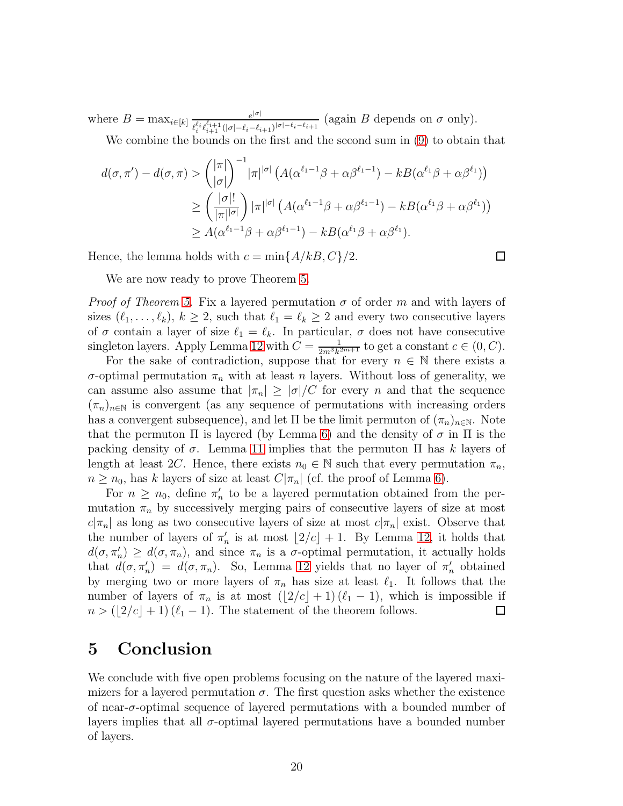where  $B = \max_{i \in [k]} \frac{e^{|\sigma|}}{e^{i}e^{i}e^{i}+1}$  (1, 1, 2, 2)  $\frac{e^{i\theta}}{\ell_i^{\ell_i}\ell_{i+1}^{\ell_{i+1}}(|\sigma|-\ell_i-\ell_{i+1})^{|\sigma|-\ell_i-\ell_{i+1}}}\$  (again B depends on  $\sigma$  only).

We combine the bounds on the first and the second sum in [\(9\)](#page-17-0) to obtain that

$$
d(\sigma, \pi') - d(\sigma, \pi) > {\binom{|\pi|}{|\sigma|}}^{-1} |\pi|^{|\sigma|} \left( A(\alpha^{\ell_1 - 1} \beta + \alpha \beta^{\ell_1 - 1}) - k B(\alpha^{\ell_1} \beta + \alpha \beta^{\ell_1}) \right)
$$
  
\n
$$
\geq {\binom{|\sigma|!}{|\pi|^{|\sigma|}}} |\pi|^{|\sigma|} \left( A(\alpha^{\ell_1 - 1} \beta + \alpha \beta^{\ell_1 - 1}) - k B(\alpha^{\ell_1} \beta + \alpha \beta^{\ell_1}) \right)
$$
  
\n
$$
\geq A(\alpha^{\ell_1 - 1} \beta + \alpha \beta^{\ell_1 - 1}) - k B(\alpha^{\ell_1} \beta + \alpha \beta^{\ell_1}).
$$

Hence, the lemma holds with  $c = \min\{A/kB, C\}/2$ .

 $\Box$ 

We are now ready to prove Theorem [5.](#page-3-1)

*Proof of Theorem [5.](#page-3-1)* Fix a layered permutation  $\sigma$  of order m and with layers of sizes  $(\ell_1, \ldots, \ell_k)$ ,  $k \geq 2$ , such that  $\ell_1 = \ell_k \geq 2$  and every two consecutive layers of  $\sigma$  contain a layer of size  $\ell_1 = \ell_k$ . In particular,  $\sigma$  does not have consecutive singleton layers. Apply Lemma [12](#page-17-1) with  $C = \frac{1}{2m^3k^3}$  $\frac{1}{2m^3k^{2m+1}}$  to get a constant  $c \in (0, C)$ .

For the sake of contradiction, suppose that for every  $n \in \mathbb{N}$  there exists a σ-optimal permutation  $π<sub>n</sub>$  with at least n layers. Without loss of generality, we can assume also assume that  $|\pi_n| \geq |\sigma|/C$  for every n and that the sequence  $(\pi_n)_{n\in\mathbb{N}}$  is convergent (as any sequence of permutations with increasing orders has a convergent subsequence), and let  $\Pi$  be the limit permuton of  $(\pi_n)_{n\in\mathbb{N}}$ . Note that the permuton  $\Pi$  is layered (by Lemma [6\)](#page-5-1) and the density of  $\sigma$  in  $\Pi$  is the packing density of  $\sigma$ . Lemma [11](#page-17-2) implies that the permuton  $\Pi$  has k layers of length at least 2C. Hence, there exists  $n_0 \in \mathbb{N}$  such that every permutation  $\pi_n$ ,  $n \geq n_0$ , has k layers of size at least  $C|\pi_n|$  (cf. the proof of Lemma [6\)](#page-5-1).

For  $n \geq n_0$ , define  $\pi'_n$  to be a layered permutation obtained from the permutation  $\pi_n$  by successively merging pairs of consecutive layers of size at most  $c|\pi_n|$  as long as two consecutive layers of size at most  $c|\pi_n|$  exist. Observe that the number of layers of  $\pi'_n$  is at most  $\lfloor 2/c \rfloor + 1$ . By Lemma [12,](#page-17-1) it holds that  $d(\sigma, \pi'_n) \geq d(\sigma, \pi_n)$ , and since  $\pi_n$  is a  $\sigma$ -optimal permutation, it actually holds that  $d(\sigma, \pi'_n) = d(\sigma, \pi_n)$ . So, Lemma [12](#page-17-1) yields that no layer of  $\pi'_n$  obtained by merging two or more layers of  $\pi_n$  has size at least  $\ell_1$ . It follows that the number of layers of  $\pi_n$  is at most  $(\lfloor 2/c \rfloor + 1) (\ell_1 - 1)$ , which is impossible if  $n > (\lfloor 2/c \rfloor + 1) (\ell_1 - 1)$ . The statement of the theorem follows.  $n > (2/c + 1)(\ell_1 - 1)$ . The statement of the theorem follows.

### <span id="page-19-0"></span>5 Conclusion

We conclude with five open problems focusing on the nature of the layered maximizers for a layered permutation  $\sigma$ . The first question asks whether the existence of near- $\sigma$ -optimal sequence of layered permutations with a bounded number of layers implies that all  $\sigma$ -optimal layered permutations have a bounded number of layers.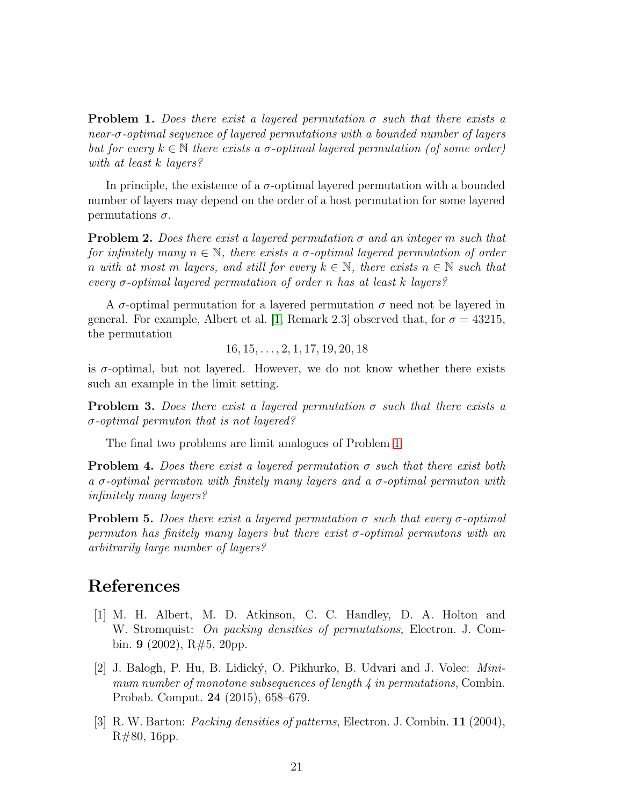<span id="page-20-3"></span>**Problem 1.** Does there exist a layered permutation  $\sigma$  such that there exists a near-σ-optimal sequence of layered permutations with a bounded number of layers but for every  $k \in \mathbb{N}$  there exists a  $\sigma$ -optimal layered permutation (of some order) with at least k layers?

In principle, the existence of a  $\sigma$ -optimal layered permutation with a bounded number of layers may depend on the order of a host permutation for some layered permutations  $\sigma$ .

**Problem 2.** Does there exist a layered permutation  $\sigma$  and an integer m such that for infinitely many  $n \in \mathbb{N}$ , there exists a  $\sigma$ -optimal layered permutation of order n with at most m layers, and still for every  $k \in \mathbb{N}$ , there exists  $n \in \mathbb{N}$  such that every  $\sigma$ -optimal layered permutation of order n has at least k layers?

A  $\sigma$ -optimal permutation for a layered permutation  $\sigma$  need not be layered in general. For example, Albert et al. [\[1,](#page-20-0) Remark 2.3] observed that, for  $\sigma = 43215$ , the permutation

 $16, 15, \ldots, 2, 1, 17, 19, 20, 18$ 

is  $\sigma$ -optimal, but not layered. However, we do not know whether there exists such an example in the limit setting.

**Problem 3.** Does there exist a layered permutation  $\sigma$  such that there exists a  $\sigma$ -optimal permuton that is not layered?

The final two problems are limit analogues of Problem [1.](#page-20-3)

**Problem 4.** Does there exist a layered permutation  $\sigma$  such that there exist both a  $\sigma$ -optimal permuton with finitely many layers and a  $\sigma$ -optimal permuton with infinitely many layers?

**Problem 5.** Does there exist a layered permutation  $\sigma$  such that every  $\sigma$ -optimal permuton has finitely many layers but there exist  $\sigma$ -optimal permutons with an arbitrarily large number of layers?

## <span id="page-20-0"></span>References

- [1] M. H. Albert, M. D. Atkinson, C. C. Handley, D. A. Holton and W. Stromquist: On packing densities of permutations, Electron. J. Combin. **9** (2002),  $R\#5$ , 20pp.
- <span id="page-20-2"></span>[2] J. Balogh, P. Hu, B. Lidick´y, O. Pikhurko, B. Udvari and J. Volec: Minimum number of monotone subsequences of length  $\lambda$  in permutations, Combin. Probab. Comput. 24 (2015), 658–679.
- <span id="page-20-1"></span>[3] R. W. Barton: Packing densities of patterns, Electron. J. Combin. 11 (2004), R#80, 16pp.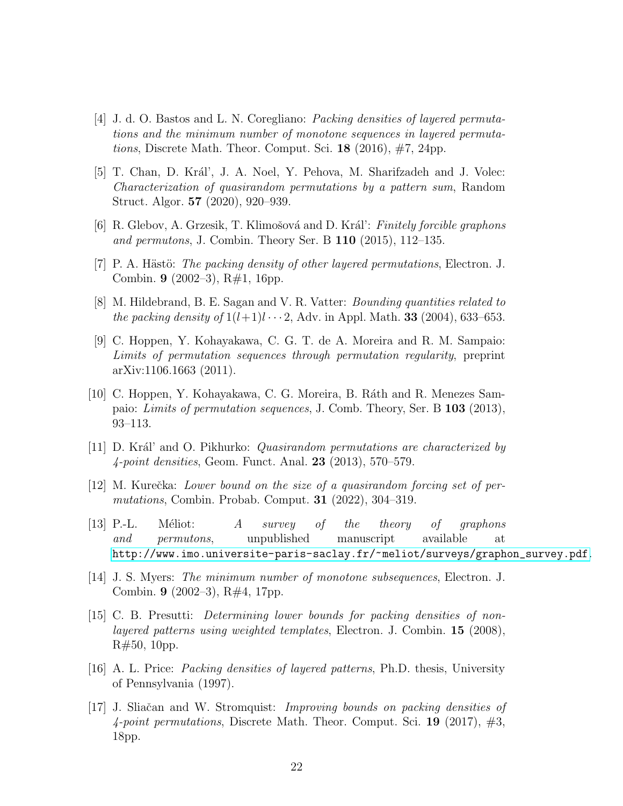- <span id="page-21-2"></span>[4] J. d. O. Bastos and L. N. Coregliano: Packing densities of layered permutations and the minimum number of monotone sequences in layered permuta*tions*, Discrete Math. Theor. Comput. Sci. **18** (2016),  $\#7$ , 24pp.
- <span id="page-21-9"></span>[5] T. Chan, D. Král', J. A. Noel, Y. Pehova, M. Sharifzadeh and J. Volec: Characterization of quasirandom permutations by a pattern sum, Random Struct. Algor. 57 (2020), 920–939.
- <span id="page-21-10"></span><span id="page-21-6"></span>[6] R. Glebov, A. Grzesik, T. Klimošová and D. Král': Finitely forcible graphons and permutons, J. Combin. Theory Ser. B 110 (2015), 112–135.
- <span id="page-21-3"></span>[7] P. A. Hästö: The packing density of other layered permutations, Electron. J. Combin. 9 (2002–3), R#1, 16pp.
- <span id="page-21-7"></span>[8] M. Hildebrand, B. E. Sagan and V. R. Vatter: Bounding quantities related to the packing density of  $1(l+1)l \cdots 2$ , Adv. in Appl. Math. **33** (2004), 633–653.
- [9] C. Hoppen, Y. Kohayakawa, C. G. T. de A. Moreira and R. M. Sampaio: Limits of permutation sequences through permutation regularity, preprint arXiv:1106.1663 (2011).
- <span id="page-21-8"></span>[10] C. Hoppen, Y. Kohayakawa, C. G. Moreira, B. R´ath and R. Menezes Sampaio: Limits of permutation sequences, J. Comb. Theory, Ser. B 103 (2013), 93–113.
- <span id="page-21-12"></span><span id="page-21-11"></span>[11] D. Král' and O. Pikhurko: *Quasirandom permutations are characterized by* 4-point densities, Geom. Funct. Anal. 23 (2013), 570–579.
- $[12]$  M. Kurečka: Lower bound on the size of a quasirandom forcing set of permutations, Combin. Probab. Comput. 31 (2022), 304–319.
- <span id="page-21-13"></span>[13] P.-L. Méliot: A survey of the theory of graphons and permutons, unpublished manuscript available at [http://www.imo.universite-paris-saclay.fr/~meliot/surveys/graphon\\_survey.pdf](http://www.imo.universite-paris-saclay.fr/~meliot/surveys/graphon_survey.pdf).
- <span id="page-21-0"></span>[14] J. S. Myers: The minimum number of monotone subsequences, Electron. J. Combin. 9 (2002–3), R#4, 17pp.
- <span id="page-21-4"></span>[15] C. B. Presutti: Determining lower bounds for packing densities of nonlayered patterns using weighted templates, Electron. J. Combin. 15 (2008), R#50, 10pp.
- <span id="page-21-5"></span>[16] A. L. Price: Packing densities of layered patterns, Ph.D. thesis, University of Pennsylvania (1997).
- <span id="page-21-1"></span>[17] J. Sliačan and W. Stromquist: *Improving bounds on packing densities of* 4-point permutations, Discrete Math. Theor. Comput. Sci. 19 (2017),  $\#3$ , 18pp.